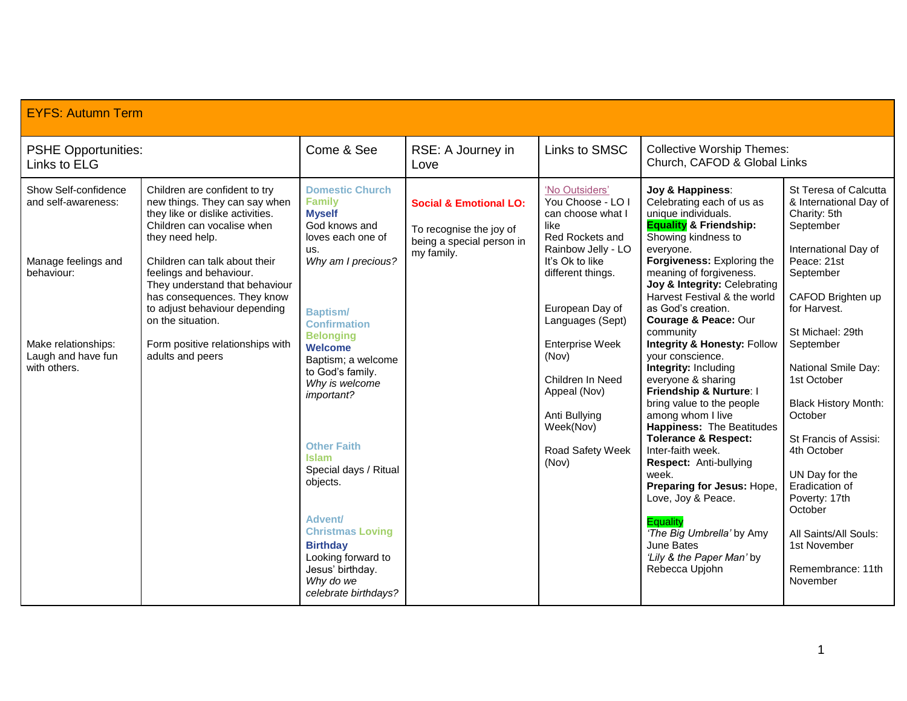| <b>EYFS: Autumn Term</b>                                  |                                                                                                                                                                                 |                                                                                                                                                               |                                                                                           |                                                                                                           |                                                                                                                                                                                                                                               |                                                                                                                                                                     |                                                               |
|-----------------------------------------------------------|---------------------------------------------------------------------------------------------------------------------------------------------------------------------------------|---------------------------------------------------------------------------------------------------------------------------------------------------------------|-------------------------------------------------------------------------------------------|-----------------------------------------------------------------------------------------------------------|-----------------------------------------------------------------------------------------------------------------------------------------------------------------------------------------------------------------------------------------------|---------------------------------------------------------------------------------------------------------------------------------------------------------------------|---------------------------------------------------------------|
| <b>PSHE Opportunities:</b><br>Links to ELG                |                                                                                                                                                                                 | Come & See                                                                                                                                                    | RSE: A Journey in<br>Love                                                                 | Links to SMSC                                                                                             | <b>Collective Worship Themes:</b><br>Church, CAFOD & Global Links                                                                                                                                                                             |                                                                                                                                                                     |                                                               |
| Show Self-confidence<br>and self-awareness:               | Children are confident to try<br>new things. They can say when<br>they like or dislike activities.<br>Children can vocalise when<br>they need help.                             | <b>Domestic Church</b><br><b>Family</b><br><b>Myself</b><br>God knows and<br>loves each one of                                                                | <b>Social &amp; Emotional LO:</b><br>To recognise the joy of<br>being a special person in | 'No Outsiders'<br>You Choose - LO I<br>can choose what I<br>like<br>Red Rockets and<br>Rainbow Jelly - LO | Joy & Happiness:<br>Celebrating each of us as<br>unique individuals.<br><b>Equality &amp; Friendship:</b><br>Showing kindness to<br>everyone.                                                                                                 | St Teresa of Calcutta<br>& International Day of<br>Charity: 5th<br>September<br>International Day of                                                                |                                                               |
| Manage feelings and<br>behaviour:                         | Children can talk about their<br>feelings and behaviour.<br>They understand that behaviour<br>has consequences. They know<br>to adjust behaviour depending<br>on the situation. | us.<br>Why am I precious?<br><b>Baptism/</b><br><b>Confirmation</b>                                                                                           | my family.                                                                                |                                                                                                           | It's Ok to like<br>different things.<br>European Day of<br>Languages (Sept)                                                                                                                                                                   | Forgiveness: Exploring the<br>meaning of forgiveness.<br>Joy & Integrity: Celebrating<br>Harvest Festival & the world<br>as God's creation.<br>Courage & Peace: Our | Peace: 21st<br>September<br>CAFOD Brighten up<br>for Harvest. |
| Make relationships:<br>Laugh and have fun<br>with others. | Form positive relationships with<br>adults and peers                                                                                                                            | <b>Belonging</b><br><b>Welcome</b><br>Baptism: a welcome<br>to God's family.<br>Why is welcome<br>important?                                                  |                                                                                           | <b>Enterprise Week</b><br>(Nov)<br>Children In Need<br>Appeal (Nov)<br>Anti Bullying<br>Week(Nov)         | community<br><b>Integrity &amp; Honesty: Follow</b><br>vour conscience.<br><b>Integrity: Including</b><br>everyone & sharing<br>Friendship & Nurture: I<br>bring value to the people<br>among whom I live<br><b>Happiness: The Beatitudes</b> | St Michael: 29th<br>September<br>National Smile Day:<br>1st October<br><b>Black History Month:</b><br>October                                                       |                                                               |
|                                                           |                                                                                                                                                                                 | <b>Other Faith</b><br><b>Islam</b><br>Special days / Ritual<br>objects.<br><b>Advent/</b><br><b>Christmas Loving</b><br><b>Birthday</b><br>Looking forward to |                                                                                           | Road Safety Week<br>(Nov)                                                                                 | <b>Tolerance &amp; Respect:</b><br>Inter-faith week.<br>Respect: Anti-bullying<br>week.<br>Preparing for Jesus: Hope,<br>Love, Joy & Peace.<br><b>Equality</b><br>'The Big Umbrella' by Amy<br>June Bates<br>'Lily & the Paper Man' by        | St Francis of Assisi:<br>4th October<br>UN Day for the<br>Eradication of<br>Poverty: 17th<br>October<br>All Saints/All Souls:<br>1st November                       |                                                               |
|                                                           |                                                                                                                                                                                 | Jesus' birthday.<br>Why do we<br>celebrate birthdays?                                                                                                         |                                                                                           |                                                                                                           | Rebecca Upjohn                                                                                                                                                                                                                                | Remembrance: 11th<br>November                                                                                                                                       |                                                               |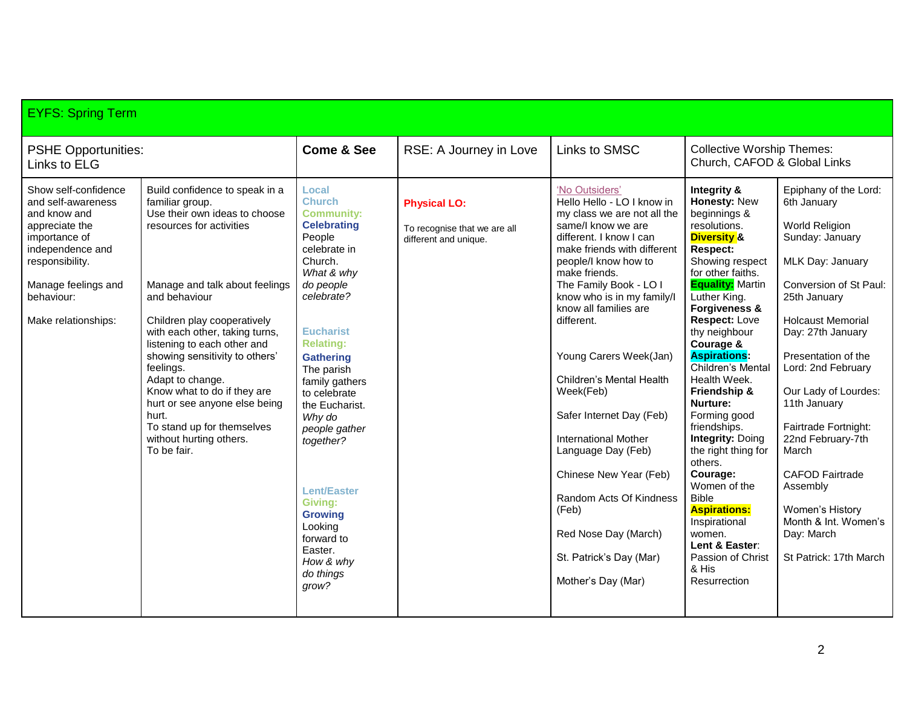| <b>EYFS: Spring Term</b>                                                                                                                                                                         |                                                                                                                                                                                                                                                                                                                                                                                                                                                                                       |                                                                                                                                                                                                                                                                                                                                                                                                                                                        |                                                                              |                                                                                                                                                                                                                                                                                                                                                                                                                                                                                                                                                                                                |                                                                                                                                                                                                                                                                                                                                                                                                                                                                                                                                                                                                                       |                                                                                                                                                                                                                                                                                                                                                                                                                                                              |
|--------------------------------------------------------------------------------------------------------------------------------------------------------------------------------------------------|---------------------------------------------------------------------------------------------------------------------------------------------------------------------------------------------------------------------------------------------------------------------------------------------------------------------------------------------------------------------------------------------------------------------------------------------------------------------------------------|--------------------------------------------------------------------------------------------------------------------------------------------------------------------------------------------------------------------------------------------------------------------------------------------------------------------------------------------------------------------------------------------------------------------------------------------------------|------------------------------------------------------------------------------|------------------------------------------------------------------------------------------------------------------------------------------------------------------------------------------------------------------------------------------------------------------------------------------------------------------------------------------------------------------------------------------------------------------------------------------------------------------------------------------------------------------------------------------------------------------------------------------------|-----------------------------------------------------------------------------------------------------------------------------------------------------------------------------------------------------------------------------------------------------------------------------------------------------------------------------------------------------------------------------------------------------------------------------------------------------------------------------------------------------------------------------------------------------------------------------------------------------------------------|--------------------------------------------------------------------------------------------------------------------------------------------------------------------------------------------------------------------------------------------------------------------------------------------------------------------------------------------------------------------------------------------------------------------------------------------------------------|
| <b>PSHE Opportunities:</b><br>Links to ELG                                                                                                                                                       |                                                                                                                                                                                                                                                                                                                                                                                                                                                                                       | <b>Come &amp; See</b>                                                                                                                                                                                                                                                                                                                                                                                                                                  | RSE: A Journey in Love                                                       | Links to SMSC                                                                                                                                                                                                                                                                                                                                                                                                                                                                                                                                                                                  | <b>Collective Worship Themes:</b><br>Church, CAFOD & Global Links                                                                                                                                                                                                                                                                                                                                                                                                                                                                                                                                                     |                                                                                                                                                                                                                                                                                                                                                                                                                                                              |
| Show self-confidence<br>and self-awareness<br>and know and<br>appreciate the<br>importance of<br>independence and<br>responsibility.<br>Manage feelings and<br>behaviour:<br>Make relationships: | Build confidence to speak in a<br>familiar group.<br>Use their own ideas to choose<br>resources for activities<br>Manage and talk about feelings<br>and behaviour<br>Children play cooperatively<br>with each other, taking turns,<br>listening to each other and<br>showing sensitivity to others'<br>feelings.<br>Adapt to change.<br>Know what to do if they are<br>hurt or see anyone else being<br>hurt.<br>To stand up for themselves<br>without hurting others.<br>To be fair. | Local<br><b>Church</b><br><b>Community:</b><br><b>Celebrating</b><br>People<br>celebrate in<br>Church.<br>What & why<br>do people<br>celebrate?<br><b>Eucharist</b><br><b>Relating:</b><br><b>Gathering</b><br>The parish<br>family gathers<br>to celebrate<br>the Eucharist.<br>Why do<br>people gather<br>together?<br><b>Lent/Easter</b><br><b>Givina:</b><br><b>Growing</b><br>Looking<br>forward to<br>Easter.<br>How & why<br>do things<br>grow? | <b>Physical LO:</b><br>To recognise that we are all<br>different and unique. | 'No Outsiders'<br>Hello Hello - LO I know in<br>my class we are not all the<br>same/I know we are<br>different. I know I can<br>make friends with different<br>people/I know how to<br>make friends.<br>The Family Book - LO I<br>know who is in my family/l<br>know all families are<br>different.<br>Young Carers Week(Jan)<br>Children's Mental Health<br>Week(Feb)<br>Safer Internet Day (Feb)<br><b>International Mother</b><br>Language Day (Feb)<br>Chinese New Year (Feb)<br>Random Acts Of Kindness<br>(Feb)<br>Red Nose Day (March)<br>St. Patrick's Day (Mar)<br>Mother's Day (Mar) | Integrity &<br>Honesty: New<br>beginnings &<br>resolutions.<br><b>Diversity &amp;</b><br><b>Respect:</b><br>Showing respect<br>for other faiths.<br><b>Equality: Martin</b><br>Luther King.<br>Forgiveness &<br>Respect: Love<br>thy neighbour<br>Courage &<br><b>Aspirations:</b><br>Children's Mental<br>Health Week.<br>Friendship &<br><b>Nurture:</b><br>Forming good<br>friendships.<br><b>Integrity: Doing</b><br>the right thing for<br>others.<br>Courage:<br>Women of the<br><b>Bible</b><br><b>Aspirations:</b><br>Inspirational<br>women.<br>Lent & Easter:<br>Passion of Christ<br>& His<br>Resurrection | Epiphany of the Lord:<br>6th January<br>World Religion<br>Sunday: January<br>MLK Day: January<br>Conversion of St Paul:<br>25th January<br><b>Holcaust Memorial</b><br>Day: 27th January<br>Presentation of the<br>Lord: 2nd February<br>Our Lady of Lourdes:<br>11th January<br>Fairtrade Fortnight:<br>22nd February-7th<br>March<br><b>CAFOD Fairtrade</b><br>Assembly<br>Women's History<br>Month & Int. Women's<br>Day: March<br>St Patrick: 17th March |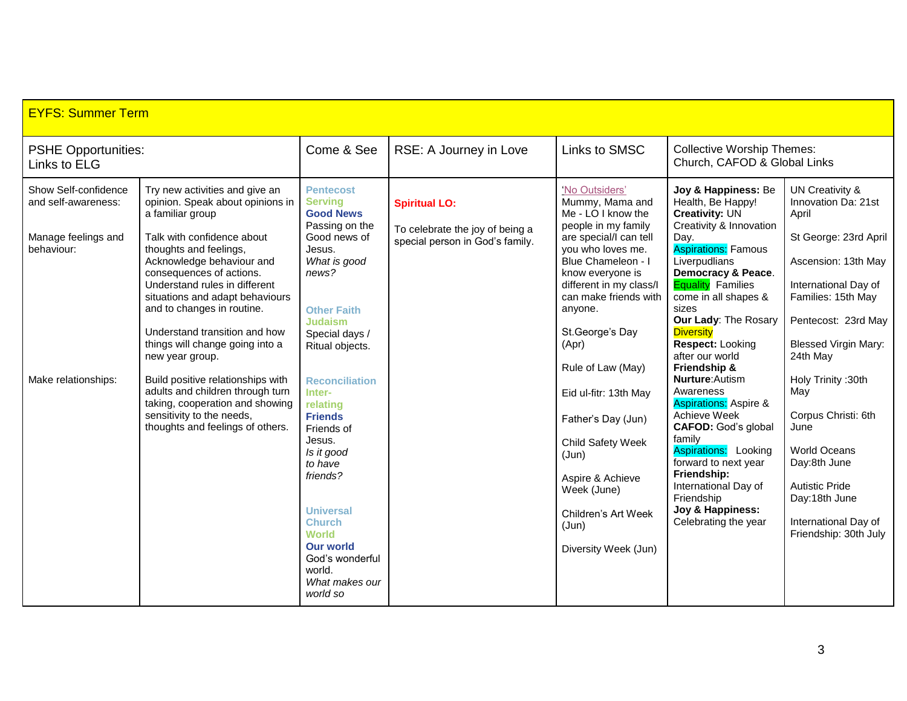| <b>EYFS: Summer Term</b>                                                                                |                                                                                                                                                                                                                                                                                                                                                                                                                                                                                                                                                                               |                                                                                                                                                                                                                                                                                                                                                                             |                                                                                            |                                                                                                                                                                                                                                                                                                                                                                                                                                         |                                                                                                                                                                                                                                                                                                                                                                                                                                                                                                                                                                                                                                      |                                                                                                                                                                                                                                                                                                                                                                                                 |
|---------------------------------------------------------------------------------------------------------|-------------------------------------------------------------------------------------------------------------------------------------------------------------------------------------------------------------------------------------------------------------------------------------------------------------------------------------------------------------------------------------------------------------------------------------------------------------------------------------------------------------------------------------------------------------------------------|-----------------------------------------------------------------------------------------------------------------------------------------------------------------------------------------------------------------------------------------------------------------------------------------------------------------------------------------------------------------------------|--------------------------------------------------------------------------------------------|-----------------------------------------------------------------------------------------------------------------------------------------------------------------------------------------------------------------------------------------------------------------------------------------------------------------------------------------------------------------------------------------------------------------------------------------|--------------------------------------------------------------------------------------------------------------------------------------------------------------------------------------------------------------------------------------------------------------------------------------------------------------------------------------------------------------------------------------------------------------------------------------------------------------------------------------------------------------------------------------------------------------------------------------------------------------------------------------|-------------------------------------------------------------------------------------------------------------------------------------------------------------------------------------------------------------------------------------------------------------------------------------------------------------------------------------------------------------------------------------------------|
| <b>PSHE Opportunities:</b><br>Links to ELG                                                              |                                                                                                                                                                                                                                                                                                                                                                                                                                                                                                                                                                               | Come & See                                                                                                                                                                                                                                                                                                                                                                  | RSE: A Journey in Love                                                                     | Links to SMSC                                                                                                                                                                                                                                                                                                                                                                                                                           | <b>Collective Worship Themes:</b><br>Church, CAFOD & Global Links                                                                                                                                                                                                                                                                                                                                                                                                                                                                                                                                                                    |                                                                                                                                                                                                                                                                                                                                                                                                 |
| Show Self-confidence<br>and self-awareness:<br>Manage feelings and<br>behaviour:<br>Make relationships: | Try new activities and give an<br>opinion. Speak about opinions in<br>a familiar group<br>Talk with confidence about<br>thoughts and feelings,<br>Acknowledge behaviour and<br>consequences of actions.<br>Understand rules in different<br>situations and adapt behaviours<br>and to changes in routine.<br>Understand transition and how<br>things will change going into a<br>new year group.<br>Build positive relationships with<br>adults and children through turn<br>taking, cooperation and showing<br>sensitivity to the needs,<br>thoughts and feelings of others. | <b>Pentecost</b><br><b>Serving</b><br><b>Good News</b><br>Passing on the<br>Good news of<br>Jesus.<br>What is good<br>news?<br><b>Other Faith</b><br><b>Judaism</b><br>Special days /<br>Ritual objects.<br><b>Reconciliation</b><br>Inter-<br>relating<br><b>Friends</b><br>Friends of<br>Jesus.<br>Is it good<br>to have<br>friends?<br><b>Universal</b><br><b>Church</b> | <b>Spiritual LO:</b><br>To celebrate the joy of being a<br>special person in God's family. | 'No Outsiders'<br>Mummy, Mama and<br>Me - LO I know the<br>people in my family<br>are special/I can tell<br>you who loves me.<br>Blue Chameleon - I<br>know everyone is<br>different in my class/l<br>can make friends with<br>anyone.<br>St.George's Day<br>(Apr)<br>Rule of Law (May)<br>Eid ul-fitr: 13th May<br>Father's Day (Jun)<br>Child Safety Week<br>(Jun)<br>Aspire & Achieve<br>Week (June)<br>Children's Art Week<br>(Jun) | Joy & Happiness: Be<br>Health, Be Happy!<br><b>Creativity: UN</b><br>Creativity & Innovation<br>Day.<br><b>Aspirations: Famous</b><br>Liverpudlians<br>Democracy & Peace.<br><b>Equality</b> Families<br>come in all shapes &<br>sizes<br>Our Lady: The Rosary<br><b>Diversity</b><br>Respect: Looking<br>after our world<br>Friendship &<br><b>Nurture:</b> Autism<br>Awareness<br><b>Aspirations: Aspire &amp;</b><br>Achieve Week<br><b>CAFOD:</b> God's global<br>family<br><b>Aspirations:</b> Looking<br>forward to next year<br>Friendship:<br>International Day of<br>Friendship<br>Joy & Happiness:<br>Celebrating the year | <b>UN Creativity &amp;</b><br>Innovation Da: 21st<br>April<br>St George: 23rd April<br>Ascension: 13th May<br>International Day of<br>Families: 15th May<br>Pentecost: 23rd May<br><b>Blessed Virgin Mary:</b><br>24th May<br>Holy Trinity: 30th<br>May<br>Corpus Christi: 6th<br>June<br><b>World Oceans</b><br>Day:8th June<br><b>Autistic Pride</b><br>Day:18th June<br>International Day of |
|                                                                                                         |                                                                                                                                                                                                                                                                                                                                                                                                                                                                                                                                                                               | <b>World</b><br><b>Our world</b><br>God's wonderful<br>world.<br>What makes our<br>world so                                                                                                                                                                                                                                                                                 |                                                                                            | Diversity Week (Jun)                                                                                                                                                                                                                                                                                                                                                                                                                    |                                                                                                                                                                                                                                                                                                                                                                                                                                                                                                                                                                                                                                      | Friendship: 30th July                                                                                                                                                                                                                                                                                                                                                                           |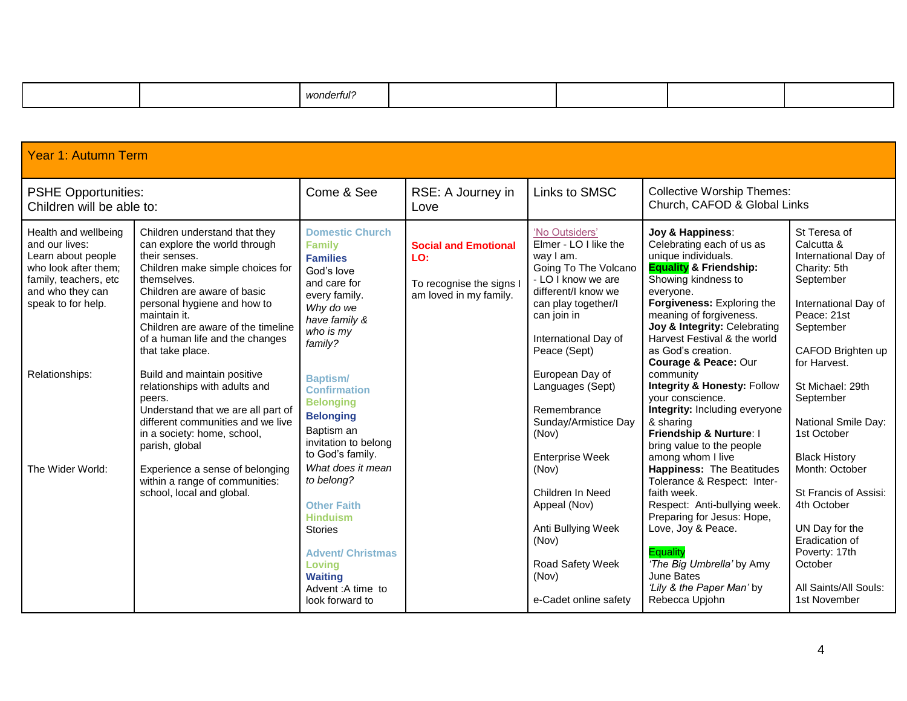|  |  |  | wonderful? |  |  |  |  |
|--|--|--|------------|--|--|--|--|
|--|--|--|------------|--|--|--|--|

| <b>Year 1: Autumn Term</b>                                                                                                                              |                                                                                                                                                                                                                                                                                                               |                                                                                                                                                                                            |                                                                                          |                                                                                                                                                                                                         |                                                                                                                                                                                                                                                                                                                             |                                                                                                                                                                                         |
|---------------------------------------------------------------------------------------------------------------------------------------------------------|---------------------------------------------------------------------------------------------------------------------------------------------------------------------------------------------------------------------------------------------------------------------------------------------------------------|--------------------------------------------------------------------------------------------------------------------------------------------------------------------------------------------|------------------------------------------------------------------------------------------|---------------------------------------------------------------------------------------------------------------------------------------------------------------------------------------------------------|-----------------------------------------------------------------------------------------------------------------------------------------------------------------------------------------------------------------------------------------------------------------------------------------------------------------------------|-----------------------------------------------------------------------------------------------------------------------------------------------------------------------------------------|
| <b>PSHE Opportunities:</b><br>Children will be able to:                                                                                                 |                                                                                                                                                                                                                                                                                                               | Come & See                                                                                                                                                                                 | RSE: A Journey in<br>Love                                                                | Links to SMSC                                                                                                                                                                                           | <b>Collective Worship Themes:</b><br>Church, CAFOD & Global Links                                                                                                                                                                                                                                                           |                                                                                                                                                                                         |
| Health and wellbeing<br>and our lives:<br>Learn about people<br>who look after them;<br>family, teachers, etc<br>and who they can<br>speak to for help. | Children understand that they<br>can explore the world through<br>their senses.<br>Children make simple choices for<br>themselves.<br>Children are aware of basic<br>personal hygiene and how to<br>maintain it.<br>Children are aware of the timeline<br>of a human life and the changes<br>that take place. | <b>Domestic Church</b><br><b>Family</b><br><b>Families</b><br>God's love<br>and care for<br>every family.<br>Why do we<br>have family &<br>who is my<br>family?                            | <b>Social and Emotional</b><br>LO:<br>To recognise the signs I<br>am loved in my family. | 'No Outsiders'<br>Elmer - LO I like the<br>way I am.<br>Going To The Volcano<br>- LO I know we are<br>different/I know we<br>can play together/I<br>can join in<br>International Day of<br>Peace (Sept) | Joy & Happiness:<br>Celebrating each of us as<br>unique individuals.<br><b>Equality &amp; Friendship:</b><br>Showing kindness to<br>everyone.<br><b>Forgiveness:</b> Exploring the<br>meaning of forgiveness.<br>Joy & Integrity: Celebrating<br>Harvest Festival & the world<br>as God's creation.<br>Courage & Peace: Our | St Teresa of<br>Calcutta &<br>International Day of<br>Charity: 5th<br>September<br>International Day of<br>Peace: 21st<br>September<br>CAFOD Brighten up<br>for Harvest.                |
| Relationships:                                                                                                                                          | Build and maintain positive<br>relationships with adults and<br>peers.<br>Understand that we are all part of<br>different communities and we live<br>in a society: home, school,<br>parish, global                                                                                                            | <b>Baptism/</b><br><b>Confirmation</b><br><b>Belonging</b><br><b>Belonging</b><br>Baptism an<br>invitation to belong<br>to God's family.                                                   |                                                                                          | European Day of<br>Languages (Sept)<br>Remembrance<br>Sunday/Armistice Day<br>(Nov)                                                                                                                     | community<br><b>Integrity &amp; Honesty: Follow</b><br>your conscience.<br>Integrity: Including everyone<br>& sharing<br>Friendship & Nurture: I<br>bring value to the people                                                                                                                                               | St Michael: 29th<br>September<br><b>National Smile Day:</b><br>1st October                                                                                                              |
| The Wider World:                                                                                                                                        | Experience a sense of belonging<br>within a range of communities:<br>school, local and global.                                                                                                                                                                                                                | What does it mean<br>to belong?<br><b>Other Faith</b><br><b>Hinduism</b><br><b>Stories</b><br><b>Advent/ Christmas</b><br>Loving<br><b>Waiting</b><br>Advent: A time to<br>look forward to |                                                                                          | <b>Enterprise Week</b><br>(Nov)<br>Children In Need<br>Appeal (Nov)<br>Anti Bullying Week<br>(Nov)<br>Road Safety Week<br>(Nov)<br>e-Cadet online safety                                                | among whom I live<br><b>Happiness: The Beatitudes</b><br>Tolerance & Respect: Inter-<br>faith week.<br>Respect: Anti-bullying week.<br>Preparing for Jesus: Hope,<br>Love, Joy & Peace.<br><b>Equality</b><br>'The Big Umbrella' by Amy<br>June Bates<br>'Lily & the Paper Man' by<br>Rebecca Upjohn                        | <b>Black History</b><br>Month: October<br>St Francis of Assisi:<br>4th October<br>UN Day for the<br>Eradication of<br>Poverty: 17th<br>October<br>All Saints/All Souls:<br>1st November |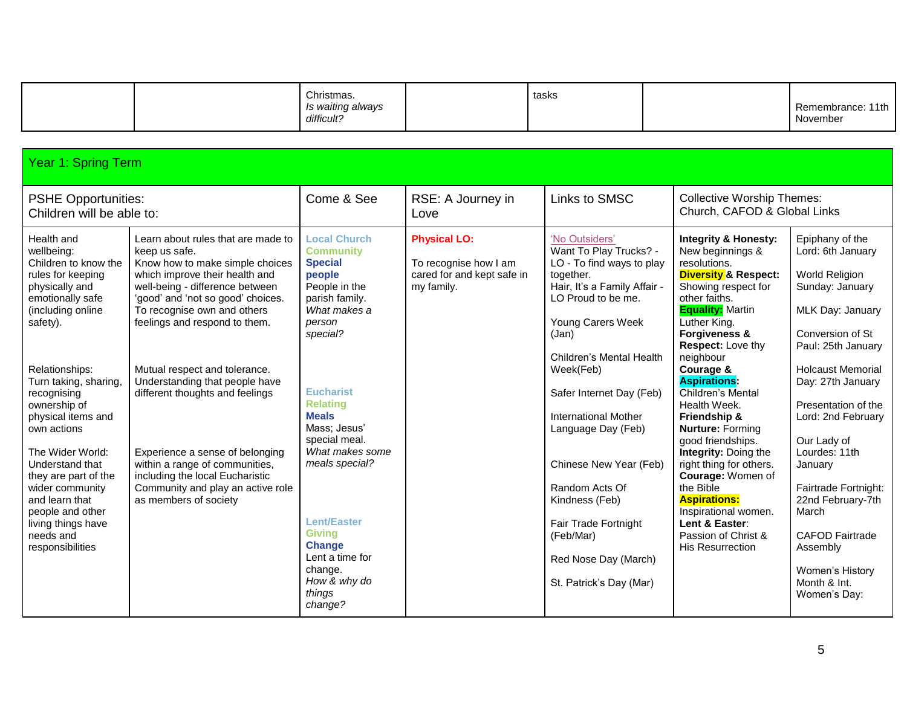|                                                                                                                                                                                                                                                                                                                                                                                                                                            |                                                                                                                                                                                                                                                                                                                                                                                                                                                                                                                                              | Christmas.<br>Is waiting always<br>difficult?                                                                                                                                                                                                                                                                                                                                                        |                                                                                          | tasks                                                                                                                                                                                                                                                                                                                                                                                                                                                  |                                                                                                                                                                                                                                                                                                                                                                                                                                                                                                                                                                                                          | Remembrance: 11th<br>November                                                                                                                                                                                                                                                                                                                                                                                                   |  |  |
|--------------------------------------------------------------------------------------------------------------------------------------------------------------------------------------------------------------------------------------------------------------------------------------------------------------------------------------------------------------------------------------------------------------------------------------------|----------------------------------------------------------------------------------------------------------------------------------------------------------------------------------------------------------------------------------------------------------------------------------------------------------------------------------------------------------------------------------------------------------------------------------------------------------------------------------------------------------------------------------------------|------------------------------------------------------------------------------------------------------------------------------------------------------------------------------------------------------------------------------------------------------------------------------------------------------------------------------------------------------------------------------------------------------|------------------------------------------------------------------------------------------|--------------------------------------------------------------------------------------------------------------------------------------------------------------------------------------------------------------------------------------------------------------------------------------------------------------------------------------------------------------------------------------------------------------------------------------------------------|----------------------------------------------------------------------------------------------------------------------------------------------------------------------------------------------------------------------------------------------------------------------------------------------------------------------------------------------------------------------------------------------------------------------------------------------------------------------------------------------------------------------------------------------------------------------------------------------------------|---------------------------------------------------------------------------------------------------------------------------------------------------------------------------------------------------------------------------------------------------------------------------------------------------------------------------------------------------------------------------------------------------------------------------------|--|--|
|                                                                                                                                                                                                                                                                                                                                                                                                                                            | <b>Year 1: Spring Term</b>                                                                                                                                                                                                                                                                                                                                                                                                                                                                                                                   |                                                                                                                                                                                                                                                                                                                                                                                                      |                                                                                          |                                                                                                                                                                                                                                                                                                                                                                                                                                                        |                                                                                                                                                                                                                                                                                                                                                                                                                                                                                                                                                                                                          |                                                                                                                                                                                                                                                                                                                                                                                                                                 |  |  |
| <b>PSHE Opportunities:</b><br>Children will be able to:                                                                                                                                                                                                                                                                                                                                                                                    |                                                                                                                                                                                                                                                                                                                                                                                                                                                                                                                                              | Come & See                                                                                                                                                                                                                                                                                                                                                                                           | RSE: A Journey in<br>Love                                                                | Links to SMSC                                                                                                                                                                                                                                                                                                                                                                                                                                          | <b>Collective Worship Themes:</b><br>Church, CAFOD & Global Links                                                                                                                                                                                                                                                                                                                                                                                                                                                                                                                                        |                                                                                                                                                                                                                                                                                                                                                                                                                                 |  |  |
| Health and<br>wellbeing:<br>Children to know the<br>rules for keeping<br>physically and<br>emotionally safe<br>(including online<br>safety).<br>Relationships:<br>Turn taking, sharing,<br>recognising<br>ownership of<br>physical items and<br>own actions<br>The Wider World:<br>Understand that<br>they are part of the<br>wider community<br>and learn that<br>people and other<br>living things have<br>needs and<br>responsibilities | Learn about rules that are made to<br>keep us safe.<br>Know how to make simple choices<br>which improve their health and<br>well-being - difference between<br>'good' and 'not so good' choices.<br>To recognise own and others<br>feelings and respond to them.<br>Mutual respect and tolerance.<br>Understanding that people have<br>different thoughts and feelings<br>Experience a sense of belonging<br>within a range of communities,<br>including the local Eucharistic<br>Community and play an active role<br>as members of society | <b>Local Church</b><br><b>Community</b><br><b>Special</b><br>people<br>People in the<br>parish family.<br>What makes a<br>person<br>special?<br><b>Eucharist</b><br><b>Relating</b><br><b>Meals</b><br>Mass; Jesus'<br>special meal.<br>What makes some<br>meals special?<br><b>Lent/Easter</b><br><b>Giving</b><br><b>Change</b><br>Lent a time for<br>change.<br>How & why do<br>things<br>change? | <b>Physical LO:</b><br>To recognise how I am<br>cared for and kept safe in<br>my family. | 'No Outsiders'<br>Want To Play Trucks? -<br>LO - To find ways to play<br>together.<br>Hair, It's a Family Affair -<br>LO Proud to be me.<br>Young Carers Week<br>(Jan)<br>Children's Mental Health<br>Week(Feb)<br>Safer Internet Day (Feb)<br><b>International Mother</b><br>Language Day (Feb)<br>Chinese New Year (Feb)<br>Random Acts Of<br>Kindness (Feb)<br>Fair Trade Fortnight<br>(Feb/Mar)<br>Red Nose Day (March)<br>St. Patrick's Day (Mar) | <b>Integrity &amp; Honesty:</b><br>New beginnings &<br>resolutions.<br><b>Diversity &amp; Respect:</b><br>Showing respect for<br>other faiths.<br><b>Equality: Martin</b><br>Luther King.<br><b>Forgiveness &amp;</b><br><b>Respect:</b> Love thy<br>neighbour<br>Courage &<br><b>Aspirations:</b><br>Children's Mental<br>Health Week.<br>Friendship &<br>Nurture: Forming<br>good friendships.<br>Integrity: Doing the<br>right thing for others.<br>Courage: Women of<br>the Bible<br><b>Aspirations:</b><br>Inspirational women.<br>Lent & Easter:<br>Passion of Christ &<br><b>His Resurrection</b> | Epiphany of the<br>Lord: 6th January<br>World Religion<br>Sunday: January<br>MLK Day: January<br>Conversion of St<br>Paul: 25th January<br><b>Holcaust Memorial</b><br>Day: 27th January<br>Presentation of the<br>Lord: 2nd February<br>Our Lady of<br>Lourdes: 11th<br>January<br>Fairtrade Fortnight:<br>22nd February-7th<br>March<br><b>CAFOD Fairtrade</b><br>Assembly<br>Women's History<br>Month & Int.<br>Women's Day: |  |  |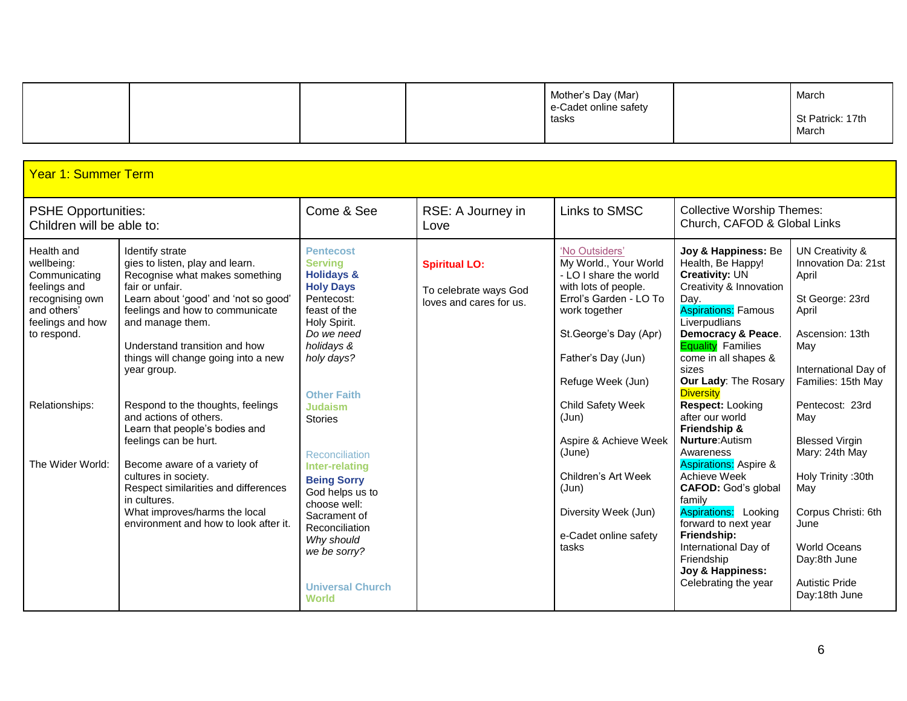|  |  | Mother's Day (Mar)<br>e-Cadet online safety | March                     |
|--|--|---------------------------------------------|---------------------------|
|  |  | tasks                                       | St Patrick: 17th<br>March |

| <b>Year 1: Summer Term</b>                                                                                                                                           |                                                                                                                                                                                                                                                                                                                                                                                                                                                                                                                                                                                                                   |                                                                                                                                                                                                                                                                                                                                                                                                |                                                                          |                                                                                                                                                                                                                                                                                                                                                                     |                                                                                                                                                                                                                                                                                                                                                                                                                                                                                                                                                                                              |                                                                                                                                                                                                                                                                                                                             |
|----------------------------------------------------------------------------------------------------------------------------------------------------------------------|-------------------------------------------------------------------------------------------------------------------------------------------------------------------------------------------------------------------------------------------------------------------------------------------------------------------------------------------------------------------------------------------------------------------------------------------------------------------------------------------------------------------------------------------------------------------------------------------------------------------|------------------------------------------------------------------------------------------------------------------------------------------------------------------------------------------------------------------------------------------------------------------------------------------------------------------------------------------------------------------------------------------------|--------------------------------------------------------------------------|---------------------------------------------------------------------------------------------------------------------------------------------------------------------------------------------------------------------------------------------------------------------------------------------------------------------------------------------------------------------|----------------------------------------------------------------------------------------------------------------------------------------------------------------------------------------------------------------------------------------------------------------------------------------------------------------------------------------------------------------------------------------------------------------------------------------------------------------------------------------------------------------------------------------------------------------------------------------------|-----------------------------------------------------------------------------------------------------------------------------------------------------------------------------------------------------------------------------------------------------------------------------------------------------------------------------|
| <b>PSHE Opportunities:</b><br>Children will be able to:                                                                                                              |                                                                                                                                                                                                                                                                                                                                                                                                                                                                                                                                                                                                                   | Come & See                                                                                                                                                                                                                                                                                                                                                                                     | RSE: A Journey in<br>Love                                                | Links to SMSC                                                                                                                                                                                                                                                                                                                                                       | <b>Collective Worship Themes:</b><br>Church, CAFOD & Global Links                                                                                                                                                                                                                                                                                                                                                                                                                                                                                                                            |                                                                                                                                                                                                                                                                                                                             |
| Health and<br>wellbeing:<br>Communicating<br>feelings and<br>recognising own<br>and others'<br>feelings and how<br>to respond.<br>Relationships:<br>The Wider World: | Identify strate<br>gies to listen, play and learn.<br>Recognise what makes something<br>fair or unfair.<br>Learn about 'good' and 'not so good'<br>feelings and how to communicate<br>and manage them.<br>Understand transition and how<br>things will change going into a new<br>year group.<br>Respond to the thoughts, feelings<br>and actions of others.<br>Learn that people's bodies and<br>feelings can be hurt.<br>Become aware of a variety of<br>cultures in society.<br>Respect similarities and differences<br>in cultures.<br>What improves/harms the local<br>environment and how to look after it. | <b>Pentecost</b><br><b>Serving</b><br><b>Holidays &amp;</b><br><b>Holy Days</b><br>Pentecost:<br>feast of the<br>Holy Spirit.<br>Do we need<br>holidays &<br>holy days?<br><b>Other Faith</b><br><b>Judaism</b><br><b>Stories</b><br>Reconciliation<br>Inter-relating<br><b>Being Sorry</b><br>God helps us to<br>choose well:<br>Sacrament of<br>Reconciliation<br>Why should<br>we be sorry? | <b>Spiritual LO:</b><br>To celebrate ways God<br>loves and cares for us. | 'No Outsiders'<br>My World., Your World<br>- LO I share the world<br>with lots of people.<br>Errol's Garden - LO To<br>work together<br>St.George's Day (Apr)<br>Father's Day (Jun)<br>Refuge Week (Jun)<br>Child Safety Week<br>(Jun)<br>Aspire & Achieve Week<br>(June)<br>Children's Art Week<br>(Jun)<br>Diversity Week (Jun)<br>e-Cadet online safety<br>tasks | Joy & Happiness: Be<br>Health, Be Happy!<br><b>Creativity: UN</b><br>Creativity & Innovation<br>Day.<br><b>Aspirations: Famous</b><br>Liverpudlians<br><b>Democracy &amp; Peace.</b><br><b>Equality</b> Families<br>come in all shapes &<br>sizes<br>Our Lady: The Rosary<br><b>Diversity</b><br>Respect: Looking<br>after our world<br>Friendship &<br><b>Nurture:</b> Autism<br>Awareness<br><b>Aspirations: Aspire &amp;</b><br>Achieve Week<br><b>CAFOD: God's global</b><br>family<br>Aspirations: Looking<br>forward to next year<br>Friendship:<br>International Day of<br>Friendship | UN Creativity &<br>Innovation Da: 21st<br>April<br>St George: 23rd<br>April<br>Ascension: 13th<br>May<br>International Day of<br>Families: 15th May<br>Pentecost: 23rd<br>May<br><b>Blessed Virgin</b><br>Mary: 24th May<br>Holy Trinity: 30th<br>May<br>Corpus Christi: 6th<br>June<br><b>World Oceans</b><br>Day:8th June |
|                                                                                                                                                                      |                                                                                                                                                                                                                                                                                                                                                                                                                                                                                                                                                                                                                   | <b>Universal Church</b><br><b>World</b>                                                                                                                                                                                                                                                                                                                                                        |                                                                          |                                                                                                                                                                                                                                                                                                                                                                     | Joy & Happiness:<br>Celebrating the year                                                                                                                                                                                                                                                                                                                                                                                                                                                                                                                                                     | <b>Autistic Pride</b><br>Day:18th June                                                                                                                                                                                                                                                                                      |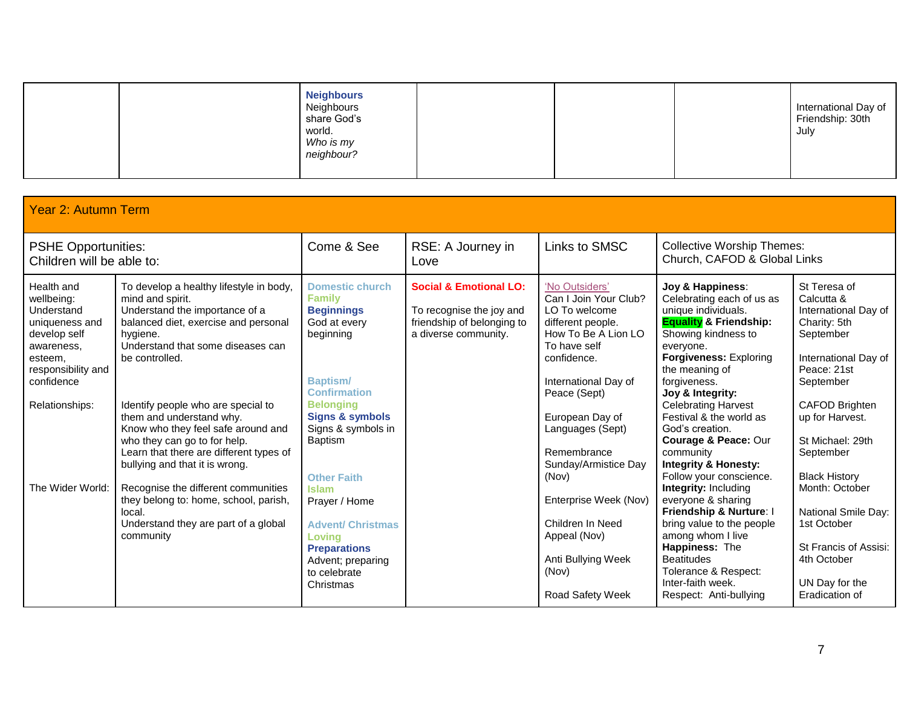| Friendship: 30th<br>share God's<br>world.<br>July<br>Who is my<br>neighbour? |
|------------------------------------------------------------------------------|
|------------------------------------------------------------------------------|

| <b>Year 2: Autumn Term</b>                                                                                                                              |                                                                                                                                                                                                                                                                                                                                                                                                                               |                                                                                                                                                                                                                                                     |                                                                                                                     |                                                                                                                                                                                                                                                                    |                                                                                                                                                                                                                                                                                                                                                                                                                     |                                                                                                                                                                                                                                          |
|---------------------------------------------------------------------------------------------------------------------------------------------------------|-------------------------------------------------------------------------------------------------------------------------------------------------------------------------------------------------------------------------------------------------------------------------------------------------------------------------------------------------------------------------------------------------------------------------------|-----------------------------------------------------------------------------------------------------------------------------------------------------------------------------------------------------------------------------------------------------|---------------------------------------------------------------------------------------------------------------------|--------------------------------------------------------------------------------------------------------------------------------------------------------------------------------------------------------------------------------------------------------------------|---------------------------------------------------------------------------------------------------------------------------------------------------------------------------------------------------------------------------------------------------------------------------------------------------------------------------------------------------------------------------------------------------------------------|------------------------------------------------------------------------------------------------------------------------------------------------------------------------------------------------------------------------------------------|
| <b>PSHE Opportunities:</b><br>Children will be able to:                                                                                                 |                                                                                                                                                                                                                                                                                                                                                                                                                               | Come & See                                                                                                                                                                                                                                          | RSE: A Journey in<br>Love                                                                                           | Links to SMSC                                                                                                                                                                                                                                                      | <b>Collective Worship Themes:</b><br>Church, CAFOD & Global Links                                                                                                                                                                                                                                                                                                                                                   |                                                                                                                                                                                                                                          |
| Health and<br>wellbeing:<br>Understand<br>uniqueness and<br>develop self<br>awareness,<br>esteem,<br>responsibility and<br>confidence<br>Relationships: | To develop a healthy lifestyle in body,<br>mind and spirit.<br>Understand the importance of a<br>balanced diet, exercise and personal<br>hygiene.<br>Understand that some diseases can<br>be controlled.<br>Identify people who are special to<br>them and understand why.<br>Know who they feel safe around and<br>who they can go to for help.<br>Learn that there are different types of<br>bullying and that it is wrong. | <b>Domestic church</b><br><b>Family</b><br><b>Beginnings</b><br>God at every<br>beginning<br><b>Baptism/</b><br><b>Confirmation</b><br><b>Belonging</b><br><b>Signs &amp; symbols</b><br>Signs & symbols in<br><b>Baptism</b><br><b>Other Faith</b> | <b>Social &amp; Emotional LO:</b><br>To recognise the joy and<br>friendship of belonging to<br>a diverse community. | 'No Outsiders'<br>Can I Join Your Club?<br>LO To welcome<br>different people.<br>How To Be A Lion LO<br>To have self<br>confidence.<br>International Day of<br>Peace (Sept)<br>European Day of<br>Languages (Sept)<br>Remembrance<br>Sunday/Armistice Day<br>(Nov) | Joy & Happiness:<br>Celebrating each of us as<br>unique individuals.<br><b>Equality &amp; Friendship:</b><br>Showing kindness to<br>everyone.<br><b>Forgiveness: Exploring</b><br>the meaning of<br>forgiveness.<br>Joy & Integrity:<br><b>Celebrating Harvest</b><br>Festival & the world as<br>God's creation.<br>Courage & Peace: Our<br>community<br><b>Integrity &amp; Honesty:</b><br>Follow your conscience. | St Teresa of<br>Calcutta &<br>International Day of<br>Charity: 5th<br>September<br>International Day of<br>Peace: 21st<br>September<br><b>CAFOD Brighten</b><br>up for Harvest.<br>St Michael: 29th<br>September<br><b>Black History</b> |
| The Wider World:                                                                                                                                        | Recognise the different communities<br>they belong to: home, school, parish,<br>local.<br>Understand they are part of a global<br>community                                                                                                                                                                                                                                                                                   | <b>Islam</b><br>Prayer / Home<br><b>Advent/ Christmas</b><br>Loving<br><b>Preparations</b><br>Advent; preparing<br>to celebrate<br>Christmas                                                                                                        |                                                                                                                     | Enterprise Week (Nov)<br>Children In Need<br>Appeal (Nov)<br>Anti Bullying Week<br>(Nov)<br>Road Safety Week                                                                                                                                                       | <b>Integrity: Including</b><br>everyone & sharing<br>Friendship & Nurture: I<br>bring value to the people<br>among whom I live<br>Happiness: The<br><b>Beatitudes</b><br>Tolerance & Respect:<br>Inter-faith week.<br>Respect: Anti-bullying                                                                                                                                                                        | Month: October<br>National Smile Day:<br>1st October<br>St Francis of Assisi:<br>4th October<br>UN Day for the<br>Eradication of                                                                                                         |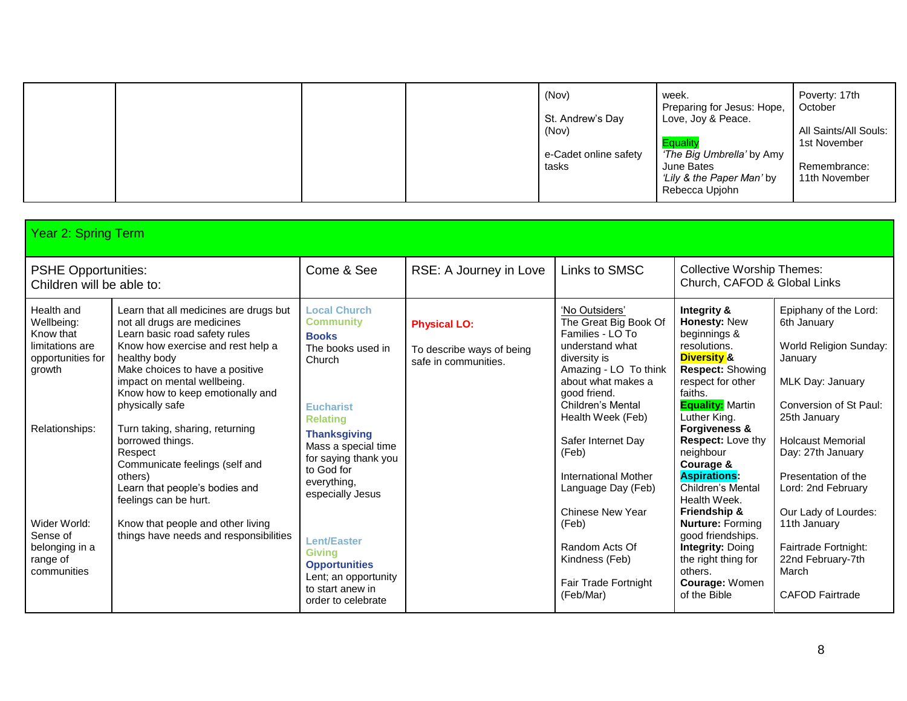|  |  | (Nov)<br>St. Andrew's Day<br>(Nov)<br>e-Cadet online safety<br>tasks | week.<br>Preparing for Jesus: Hope,<br>Love, Joy & Peace.<br><b>Equality</b><br>'The Big Umbrella' by Amy<br>June Bates<br>'Lily & the Paper Man' by<br>Rebecca Upjohn | Poverty: 17th<br>October<br>All Saints/All Souls:<br>1st November<br>Remembrance:<br>11th November |
|--|--|----------------------------------------------------------------------|------------------------------------------------------------------------------------------------------------------------------------------------------------------------|----------------------------------------------------------------------------------------------------|
|  |  |                                                                      |                                                                                                                                                                        |                                                                                                    |

| Year 2: Spring Term                                                                                                                                                                |                                                                                                                                                                                                                                                                                                                                                                                                                                                                                                                                               |                                                                                                                                                                                                                                                                                                                                                                                       |                                                                          |                                                                                                                                                                                                                                                                                                                                                                                                   |                                                                                                                                                                                                                                                                                                                                                                                                                                                                                                   |                                                                                                                                                                                                                                                                                                                                                               |  |
|------------------------------------------------------------------------------------------------------------------------------------------------------------------------------------|-----------------------------------------------------------------------------------------------------------------------------------------------------------------------------------------------------------------------------------------------------------------------------------------------------------------------------------------------------------------------------------------------------------------------------------------------------------------------------------------------------------------------------------------------|---------------------------------------------------------------------------------------------------------------------------------------------------------------------------------------------------------------------------------------------------------------------------------------------------------------------------------------------------------------------------------------|--------------------------------------------------------------------------|---------------------------------------------------------------------------------------------------------------------------------------------------------------------------------------------------------------------------------------------------------------------------------------------------------------------------------------------------------------------------------------------------|---------------------------------------------------------------------------------------------------------------------------------------------------------------------------------------------------------------------------------------------------------------------------------------------------------------------------------------------------------------------------------------------------------------------------------------------------------------------------------------------------|---------------------------------------------------------------------------------------------------------------------------------------------------------------------------------------------------------------------------------------------------------------------------------------------------------------------------------------------------------------|--|
| <b>PSHE Opportunities:</b><br>Children will be able to:                                                                                                                            |                                                                                                                                                                                                                                                                                                                                                                                                                                                                                                                                               | Come & See                                                                                                                                                                                                                                                                                                                                                                            | RSE: A Journey in Love                                                   | Links to SMSC                                                                                                                                                                                                                                                                                                                                                                                     | <b>Collective Worship Themes:</b><br>Church, CAFOD & Global Links                                                                                                                                                                                                                                                                                                                                                                                                                                 |                                                                                                                                                                                                                                                                                                                                                               |  |
| Health and<br>Wellbeing:<br>Know that<br>limitations are<br>opportunities for<br>growth<br>Relationships:<br>Wider World:<br>Sense of<br>belonging in a<br>range of<br>communities | Learn that all medicines are drugs but<br>not all drugs are medicines<br>Learn basic road safety rules<br>Know how exercise and rest help a<br>healthy body<br>Make choices to have a positive<br>impact on mental wellbeing.<br>Know how to keep emotionally and<br>physically safe<br>Turn taking, sharing, returning<br>borrowed things.<br>Respect<br>Communicate feelings (self and<br>others)<br>Learn that people's bodies and<br>feelings can be hurt.<br>Know that people and other living<br>things have needs and responsibilities | <b>Local Church</b><br><b>Community</b><br><b>Books</b><br>The books used in<br>Church<br><b>Eucharist</b><br><b>Relating</b><br><b>Thanksgiving</b><br>Mass a special time<br>for saying thank you<br>to God for<br>everything,<br>especially Jesus<br><b>Lent/Easter</b><br><b>Givina</b><br><b>Opportunities</b><br>Lent; an opportunity<br>to start anew in<br>order to celebrate | <b>Physical LO:</b><br>To describe ways of being<br>safe in communities. | 'No Outsiders'<br>The Great Big Book Of<br>Families - LO To<br>understand what<br>diversity is<br>Amazing - LO To think<br>about what makes a<br>good friend.<br>Children's Mental<br>Health Week (Feb)<br>Safer Internet Day<br>(Feb)<br><b>International Mother</b><br>Language Day (Feb)<br>Chinese New Year<br>(Feb)<br>Random Acts Of<br>Kindness (Feb)<br>Fair Trade Fortnight<br>(Feb/Mar) | Integrity &<br>Honesty: New<br>beginnings &<br>resolutions.<br><b>Diversity &amp;</b><br><b>Respect: Showing</b><br>respect for other<br>faiths.<br><b>Equality:</b> Martin<br>Luther King.<br><b>Forgiveness &amp;</b><br>Respect: Love thy<br>neighbour<br>Courage &<br><b>Aspirations:</b><br>Children's Mental<br>Health Week.<br>Friendship &<br><b>Nurture: Forming</b><br>good friendships.<br><b>Integrity: Doing</b><br>the right thing for<br>others.<br>Courage: Women<br>of the Bible | Epiphany of the Lord:<br>6th January<br>World Religion Sunday:<br>January<br>MLK Day: January<br>Conversion of St Paul:<br>25th January<br><b>Holcaust Memorial</b><br>Day: 27th January<br>Presentation of the<br>Lord: 2nd February<br>Our Lady of Lourdes:<br>11th January<br>Fairtrade Fortnight:<br>22nd February-7th<br>March<br><b>CAFOD Fairtrade</b> |  |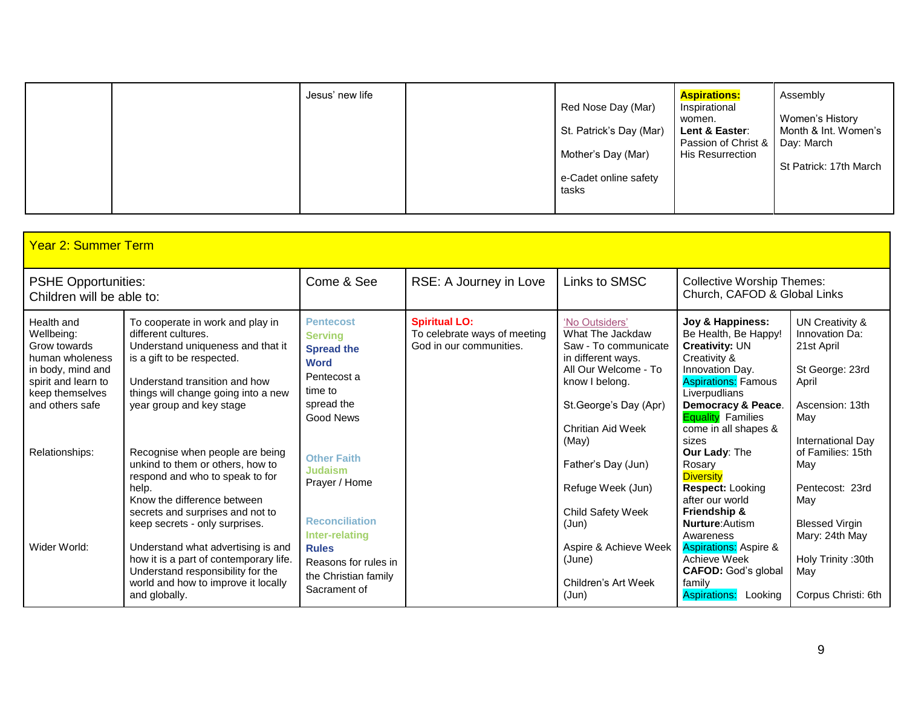| Jesus' new life | Red Nose Day (Mar)<br>St. Patrick's Day (Mar)<br>Mother's Day (Mar)<br>e-Cadet online safety<br>tasks | <b>Aspirations:</b><br>Inspirational<br>women.<br>Lent & Easter:<br>Passion of Christ &   Day: March<br><b>His Resurrection</b> | Assembly<br>Women's History<br>Month & Int. Women's<br>St Patrick: 17th March |
|-----------------|-------------------------------------------------------------------------------------------------------|---------------------------------------------------------------------------------------------------------------------------------|-------------------------------------------------------------------------------|
|-----------------|-------------------------------------------------------------------------------------------------------|---------------------------------------------------------------------------------------------------------------------------------|-------------------------------------------------------------------------------|

| <b>Year 2: Summer Term</b>                                                                                                                    |                                                                                                                                                                                                                                |                                                                                                                             |                                                                                 |                                                                                                                                                                                          |                                                                                                                                                                                                                                        |                                                                                                                            |  |  |
|-----------------------------------------------------------------------------------------------------------------------------------------------|--------------------------------------------------------------------------------------------------------------------------------------------------------------------------------------------------------------------------------|-----------------------------------------------------------------------------------------------------------------------------|---------------------------------------------------------------------------------|------------------------------------------------------------------------------------------------------------------------------------------------------------------------------------------|----------------------------------------------------------------------------------------------------------------------------------------------------------------------------------------------------------------------------------------|----------------------------------------------------------------------------------------------------------------------------|--|--|
| <b>PSHE Opportunities:</b><br>Children will be able to:                                                                                       |                                                                                                                                                                                                                                | Come & See                                                                                                                  | RSE: A Journey in Love                                                          | Links to SMSC                                                                                                                                                                            | <b>Collective Worship Themes:</b><br>Church, CAFOD & Global Links                                                                                                                                                                      |                                                                                                                            |  |  |
| Health and<br>Wellbeina:<br>Grow towards<br>human wholeness<br>in body, mind and<br>spirit and learn to<br>keep themselves<br>and others safe | To cooperate in work and play in<br>different cultures.<br>Understand uniqueness and that it<br>is a gift to be respected.<br>Understand transition and how<br>things will change going into a new<br>year group and key stage | <b>Pentecost</b><br><b>Serving</b><br><b>Spread the</b><br><b>Word</b><br>Pentecost a<br>time to<br>spread the<br>Good News | <b>Spiritual LO:</b><br>To celebrate ways of meeting<br>God in our communities. | 'No Outsiders'<br>What The Jackdaw<br>Saw - To communicate<br>in different ways.<br>All Our Welcome - To<br>know I belong.<br>St.George's Day (Apr)<br><b>Chritian Aid Week</b><br>(May) | Joy & Happiness:<br>Be Health, Be Happy!<br><b>Creativity: UN</b><br>Creativity &<br>Innovation Day.<br><b>Aspirations: Famous</b><br>Liverpudlians<br>Democracy & Peace.<br><b>Equality</b> Families<br>come in all shapes &<br>sizes | UN Creativity &<br>Innovation Da:<br>21st April<br>St George: 23rd<br>April<br>Ascension: 13th<br>May<br>International Day |  |  |
| Relationships:                                                                                                                                | Recognise when people are being<br>unkind to them or others, how to<br>respond and who to speak to for<br>help.<br>Know the difference between<br>secrets and surprises and not to<br>keep secrets - only surprises.           | <b>Other Faith</b><br><b>Judaism</b><br>Prayer / Home<br><b>Reconciliation</b><br>Inter-relating                            |                                                                                 | Father's Day (Jun)<br>Refuge Week (Jun)<br>Child Safety Week<br>(Jun)                                                                                                                    | Our Lady: The<br>Rosary<br><b>Diversity</b><br><b>Respect: Looking</b><br>after our world<br>Friendship &<br><b>Nurture:</b> Autism<br>Awareness                                                                                       | of Families: 15th<br>May<br>Pentecost: 23rd<br>May<br><b>Blessed Virgin</b><br>Mary: 24th May                              |  |  |
| Wider World:                                                                                                                                  | Understand what advertising is and<br>how it is a part of contemporary life.<br>Understand responsibility for the<br>world and how to improve it locally<br>and globally.                                                      | <b>Rules</b><br>Reasons for rules in<br>the Christian family<br>Sacrament of                                                |                                                                                 | Aspire & Achieve Week<br>(June)<br>Children's Art Week<br>(Jun)                                                                                                                          | <b>Aspirations: Aspire &amp;</b><br>Achieve Week<br><b>CAFOD:</b> God's global<br>family<br><b>Aspirations:</b><br>Looking                                                                                                             | Holy Trinity: 30th<br>May<br>Corpus Christi: 6th                                                                           |  |  |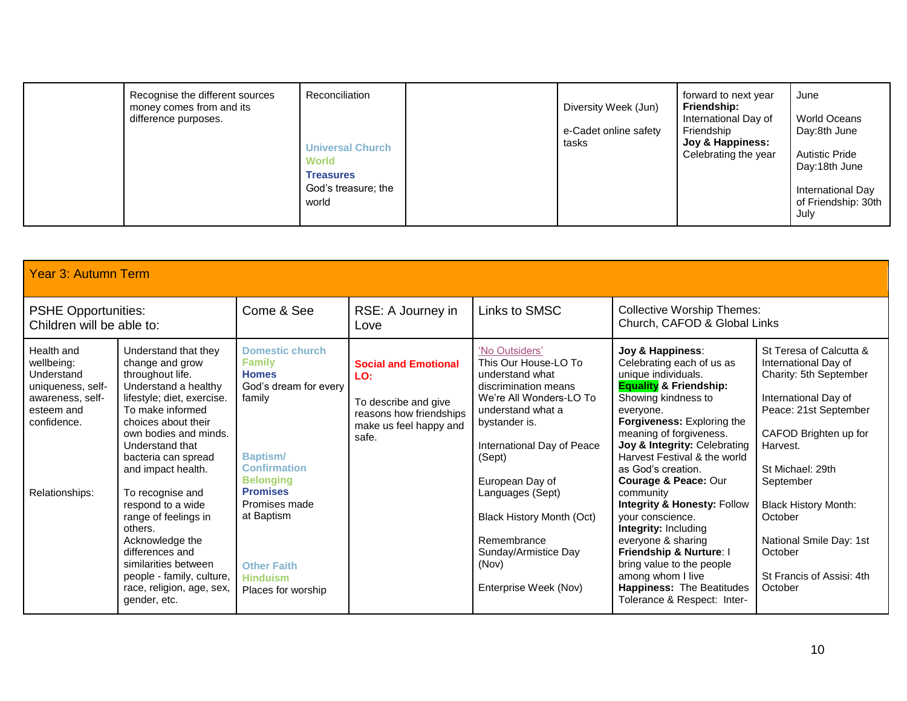|  | Recognise the different sources<br>money comes from and its<br>difference purposes. | Reconciliation<br><b>Universal Church</b><br><b>World</b><br><b>Treasures</b><br>God's treasure; the<br>world |  | Diversity Week (Jun)<br>e-Cadet online safety<br>tasks | forward to next year<br>Friendship:<br>International Day of<br>Friendship<br>Joy & Happiness:<br>Celebrating the year | June<br>World Oceans<br>Day:8th June<br><b>Autistic Pride</b><br>Day:18th June<br>International Day<br>of Friendship: 30th<br>July |
|--|-------------------------------------------------------------------------------------|---------------------------------------------------------------------------------------------------------------|--|--------------------------------------------------------|-----------------------------------------------------------------------------------------------------------------------|------------------------------------------------------------------------------------------------------------------------------------|
|--|-------------------------------------------------------------------------------------|---------------------------------------------------------------------------------------------------------------|--|--------------------------------------------------------|-----------------------------------------------------------------------------------------------------------------------|------------------------------------------------------------------------------------------------------------------------------------|

| <b>Year 3: Autumn Term</b>                                                                                                                                                                                                                                                                                                                                                                                                                                                                                                                                                                                  |                                                                                                                                                                                                                                                                           |                                                                                                                          |                                                                                                                                                                                                                                                                                                                                         |                                                                                                                                                                                                                                                                                                                                                                                                                                                                                                                                                                                               |                                                                                                                                                                                                                                                                                                                          |  |  |  |  |
|-------------------------------------------------------------------------------------------------------------------------------------------------------------------------------------------------------------------------------------------------------------------------------------------------------------------------------------------------------------------------------------------------------------------------------------------------------------------------------------------------------------------------------------------------------------------------------------------------------------|---------------------------------------------------------------------------------------------------------------------------------------------------------------------------------------------------------------------------------------------------------------------------|--------------------------------------------------------------------------------------------------------------------------|-----------------------------------------------------------------------------------------------------------------------------------------------------------------------------------------------------------------------------------------------------------------------------------------------------------------------------------------|-----------------------------------------------------------------------------------------------------------------------------------------------------------------------------------------------------------------------------------------------------------------------------------------------------------------------------------------------------------------------------------------------------------------------------------------------------------------------------------------------------------------------------------------------------------------------------------------------|--------------------------------------------------------------------------------------------------------------------------------------------------------------------------------------------------------------------------------------------------------------------------------------------------------------------------|--|--|--|--|
| <b>PSHE Opportunities:</b><br>Children will be able to:                                                                                                                                                                                                                                                                                                                                                                                                                                                                                                                                                     | Come & See                                                                                                                                                                                                                                                                | RSE: A Journey in<br>Love                                                                                                | Links to SMSC                                                                                                                                                                                                                                                                                                                           | <b>Collective Worship Themes:</b><br>Church, CAFOD & Global Links                                                                                                                                                                                                                                                                                                                                                                                                                                                                                                                             |                                                                                                                                                                                                                                                                                                                          |  |  |  |  |
| Health and<br>Understand that they<br>wellbeing:<br>change and grow<br>throughout life.<br>Understand<br>Understand a healthy<br>uniqueness, self-<br>lifestyle; diet, exercise.<br>awareness, self-<br>To make informed<br>esteem and<br>choices about their<br>confidence.<br>own bodies and minds.<br>Understand that<br>bacteria can spread<br>and impact health.<br>To recognise and<br>Relationships:<br>respond to a wide<br>range of feelings in<br>others.<br>Acknowledge the<br>differences and<br>similarities between<br>people - family, culture,<br>race, religion, age, sex,<br>gender, etc. | <b>Domestic church</b><br><b>Family</b><br><b>Homes</b><br>God's dream for every<br>family<br><b>Baptism/</b><br><b>Confirmation</b><br><b>Belonging</b><br><b>Promises</b><br>Promises made<br>at Baptism<br><b>Other Faith</b><br><b>Hinduism</b><br>Places for worship | <b>Social and Emotional</b><br>LO:<br>To describe and give<br>reasons how friendships<br>make us feel happy and<br>safe. | 'No Outsiders'<br>This Our House-LO To<br>understand what<br>discrimination means<br>We're All Wonders-LO To<br>understand what a<br>bystander is.<br>International Day of Peace<br>(Sept)<br>European Day of<br>Languages (Sept)<br>Black History Month (Oct)<br>Remembrance<br>Sunday/Armistice Day<br>(Nov)<br>Enterprise Week (Nov) | Joy & Happiness:<br>Celebrating each of us as<br>unique individuals.<br><b>Equality &amp; Friendship:</b><br>Showing kindness to<br>everyone.<br>Forgiveness: Exploring the<br>meaning of forgiveness.<br>Joy & Integrity: Celebrating<br>Harvest Festival & the world<br>as God's creation.<br>Courage & Peace: Our<br>community<br><b>Integrity &amp; Honesty: Follow</b><br>your conscience.<br><b>Integrity: Including</b><br>everyone & sharing<br>Friendship & Nurture: I<br>bring value to the people<br>among whom I live<br>Happiness: The Beatitudes<br>Tolerance & Respect: Inter- | St Teresa of Calcutta &<br>International Day of<br>Charity: 5th September<br>International Day of<br>Peace: 21st September<br>CAFOD Brighten up for<br>Harvest.<br>St Michael: 29th<br>September<br><b>Black History Month:</b><br>October<br>National Smile Day: 1st<br>October<br>St Francis of Assisi: 4th<br>October |  |  |  |  |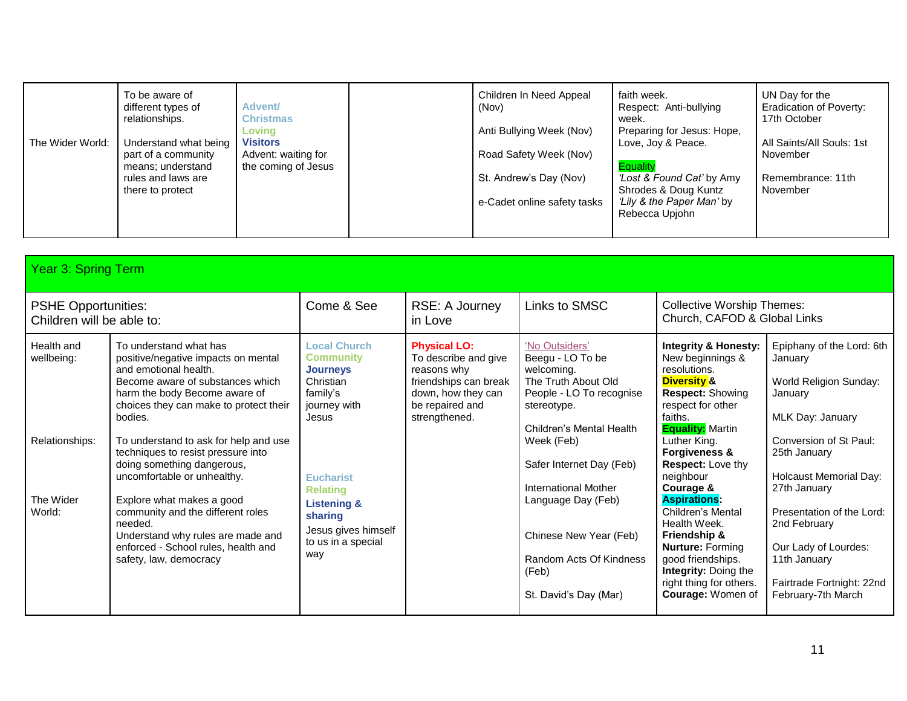| The Wider World: | To be aware of<br>different types of<br>relationships.<br>Understand what being<br>part of a community<br>means; understand<br>rules and laws are<br>there to protect | <b>Advent/</b><br><b>Christmas</b><br>Lovina<br><b>Visitors</b><br>Advent: waiting for<br>the coming of Jesus | Children In Need Appeal<br>(Nov)<br>Anti Bullying Week (Nov)<br>Road Safety Week (Nov)<br>St. Andrew's Day (Nov) | faith week.<br>Respect: Anti-bullying<br>week.<br>Preparing for Jesus: Hope,<br>Love, Joy & Peace.<br>Equality<br>Lost & Found Cat' by Amy<br>Shrodes & Doug Kuntz | UN Day for the<br><b>Eradication of Poverty:</b><br>17th October<br>All Saints/All Souls: 1st<br>November<br>Remembrance: 11th<br>November |
|------------------|-----------------------------------------------------------------------------------------------------------------------------------------------------------------------|---------------------------------------------------------------------------------------------------------------|------------------------------------------------------------------------------------------------------------------|--------------------------------------------------------------------------------------------------------------------------------------------------------------------|--------------------------------------------------------------------------------------------------------------------------------------------|
|                  |                                                                                                                                                                       |                                                                                                               | e-Cadet online safety tasks                                                                                      | 'Lily & the Paper Man' by<br>Rebecca Upjohn                                                                                                                        |                                                                                                                                            |
|                  |                                                                                                                                                                       |                                                                                                               |                                                                                                                  |                                                                                                                                                                    |                                                                                                                                            |

| Year 3: Spring Term                                     |                                                                                                                                                                                                                  |                                                                                                              |                                                                                                                                               |                                                                                                                                                |                                                                                                                                                                                                             |                                                                                                                                      |  |
|---------------------------------------------------------|------------------------------------------------------------------------------------------------------------------------------------------------------------------------------------------------------------------|--------------------------------------------------------------------------------------------------------------|-----------------------------------------------------------------------------------------------------------------------------------------------|------------------------------------------------------------------------------------------------------------------------------------------------|-------------------------------------------------------------------------------------------------------------------------------------------------------------------------------------------------------------|--------------------------------------------------------------------------------------------------------------------------------------|--|
| <b>PSHE Opportunities:</b><br>Children will be able to: |                                                                                                                                                                                                                  | Come & See                                                                                                   | RSE: A Journey<br>in Love                                                                                                                     | Links to SMSC                                                                                                                                  | <b>Collective Worship Themes:</b><br>Church, CAFOD & Global Links                                                                                                                                           |                                                                                                                                      |  |
| Health and<br>wellbeing:                                | To understand what has<br>positive/negative impacts on mental<br>and emotional health.<br>Become aware of substances which<br>harm the body Become aware of<br>choices they can make to protect their<br>bodies. | <b>Local Church</b><br><b>Community</b><br><b>Journeys</b><br>Christian<br>family's<br>journey with<br>Jesus | <b>Physical LO:</b><br>To describe and give<br>reasons why<br>friendships can break<br>down, how they can<br>be repaired and<br>strengthened. | 'No Outsiders'<br>Beegu - LO To be<br>welcoming.<br>The Truth About Old<br>People - LO To recognise<br>stereotype.<br>Children's Mental Health | <b>Integrity &amp; Honesty:</b><br>New beginnings &<br>resolutions.<br><b>Diversity &amp;</b><br><b>Respect: Showing</b><br>respect for other<br>faiths.<br><b>Equality:</b> Martin                         | Epiphany of the Lord: 6th<br>January<br>World Religion Sunday:<br>January<br>MLK Day: January                                        |  |
| Relationships:                                          | To understand to ask for help and use<br>techniques to resist pressure into<br>doing something dangerous,<br>uncomfortable or unhealthy.                                                                         | <b>Eucharist</b><br><b>Relating</b>                                                                          |                                                                                                                                               | Week (Feb)<br>Safer Internet Day (Feb)<br><b>International Mother</b>                                                                          | Luther King.<br><b>Forgiveness &amp;</b><br><b>Respect:</b> Love thy<br>neighbour<br>Courage &                                                                                                              | Conversion of St Paul:<br>25th January<br><b>Holcaust Memorial Day:</b><br>27th January                                              |  |
| The Wider<br>World:                                     | Explore what makes a good<br>community and the different roles<br>needed.<br>Understand why rules are made and<br>enforced - School rules, health and<br>safety, law, democracy                                  | <b>Listening &amp;</b><br>sharing<br>Jesus gives himself<br>to us in a special<br>way                        |                                                                                                                                               | Language Day (Feb)<br>Chinese New Year (Feb)<br>Random Acts Of Kindness<br>(Feb)<br>St. David's Day (Mar)                                      | <b>Aspirations:</b><br>Children's Mental<br>Health Week.<br><b>Friendship &amp;</b><br><b>Nurture: Forming</b><br>good friendships.<br>Integrity: Doing the<br>right thing for others.<br>Courage: Women of | Presentation of the Lord:<br>2nd February<br>Our Lady of Lourdes:<br>11th January<br>Fairtrade Fortnight: 22nd<br>February-7th March |  |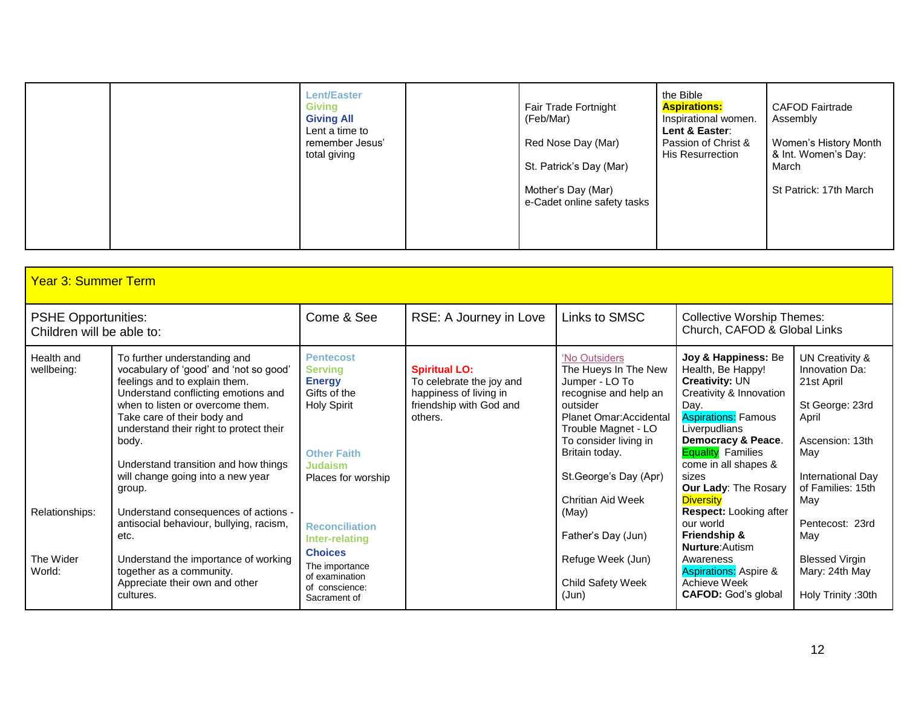|  |  | <b>Lent/Easter</b><br><b>Giving</b><br><b>Giving All</b><br>Lent a time to<br>remember Jesus'<br>total giving |  | Fair Trade Fortnight<br>(Feb/Mar)<br>Red Nose Day (Mar)<br>St. Patrick's Day (Mar)<br>Mother's Day (Mar)<br>e-Cadet online safety tasks | the Bible<br><b>Aspirations:</b><br>Inspirational women.<br>Lent & Easter:<br>Passion of Christ &<br><b>His Resurrection</b> | <b>CAFOD Fairtrade</b><br>Assembly<br>Women's History Month<br>& Int. Women's Day:<br>March<br>St Patrick: 17th March |
|--|--|---------------------------------------------------------------------------------------------------------------|--|-----------------------------------------------------------------------------------------------------------------------------------------|------------------------------------------------------------------------------------------------------------------------------|-----------------------------------------------------------------------------------------------------------------------|
|--|--|---------------------------------------------------------------------------------------------------------------|--|-----------------------------------------------------------------------------------------------------------------------------------------|------------------------------------------------------------------------------------------------------------------------------|-----------------------------------------------------------------------------------------------------------------------|

| <b>Year 3: Summer Term</b>                              |                                                                                                                                                                                                                                                                                                                                                              |                                                                                                                                                  |                                                                                                                  |                                                                                                                                                                                                                                         |                                                                                                                                                                                                                                                                                    |                                                                                                                                                        |  |
|---------------------------------------------------------|--------------------------------------------------------------------------------------------------------------------------------------------------------------------------------------------------------------------------------------------------------------------------------------------------------------------------------------------------------------|--------------------------------------------------------------------------------------------------------------------------------------------------|------------------------------------------------------------------------------------------------------------------|-----------------------------------------------------------------------------------------------------------------------------------------------------------------------------------------------------------------------------------------|------------------------------------------------------------------------------------------------------------------------------------------------------------------------------------------------------------------------------------------------------------------------------------|--------------------------------------------------------------------------------------------------------------------------------------------------------|--|
| <b>PSHE Opportunities:</b><br>Children will be able to: |                                                                                                                                                                                                                                                                                                                                                              | Come & See                                                                                                                                       | RSE: A Journey in Love                                                                                           | Links to SMSC                                                                                                                                                                                                                           | <b>Collective Worship Themes:</b><br>Church, CAFOD & Global Links                                                                                                                                                                                                                  |                                                                                                                                                        |  |
| Health and<br>wellbeing:                                | To further understanding and<br>vocabulary of 'good' and 'not so good'<br>feelings and to explain them.<br>Understand conflicting emotions and<br>when to listen or overcome them.<br>Take care of their body and<br>understand their right to protect their<br>body.<br>Understand transition and how things<br>will change going into a new year<br>group. | <b>Pentecost</b><br><b>Serving</b><br><b>Energy</b><br>Gifts of the<br><b>Holy Spirit</b><br><b>Other Faith</b><br>Judaism<br>Places for worship | <b>Spiritual LO:</b><br>To celebrate the joy and<br>happiness of living in<br>friendship with God and<br>others. | 'No Outsiders<br>The Hueys In The New<br>Jumper - LO To<br>recognise and help an<br>outsider<br>Planet Omar: Accidental<br>Trouble Magnet - LO<br>To consider living in<br>Britain today.<br>St.George's Day (Apr)<br>Chritian Aid Week | Joy & Happiness: Be<br>Health, Be Happy!<br><b>Creativity: UN</b><br>Creativity & Innovation<br>Day.<br><b>Aspirations: Famous</b><br>Liverpudlians<br>Democracy & Peace.<br><b>Equality Families</b><br>come in all shapes &<br>sizes<br>Our Lady: The Rosary<br><b>Diversity</b> | UN Creativity &<br>Innovation Da:<br>21st April<br>St George: 23rd<br>April<br>Ascension: 13th<br>May<br>International Day<br>of Families: 15th<br>May |  |
| Relationships:<br>The Wider<br>World:                   | Understand consequences of actions -<br>antisocial behaviour, bullying, racism,<br>etc.<br>Understand the importance of working<br>together as a community.<br>Appreciate their own and other<br>cultures.                                                                                                                                                   | <b>Reconciliation</b><br>Inter-relating<br><b>Choices</b><br>The importance<br>of examination<br>of conscience:<br>Sacrament of                  |                                                                                                                  | (May)<br>Father's Day (Jun)<br>Refuge Week (Jun)<br>Child Safety Week<br>(Jun)                                                                                                                                                          | Respect: Looking after<br>our world<br><b>Friendship &amp;</b><br><b>Nurture:</b> Autism<br>Awareness<br><b>Aspirations: Aspire &amp;</b><br>Achieve Week<br><b>CAFOD:</b> God's global                                                                                            | Pentecost: 23rd<br>May<br><b>Blessed Virgin</b><br>Mary: 24th May<br>Holy Trinity: 30th                                                                |  |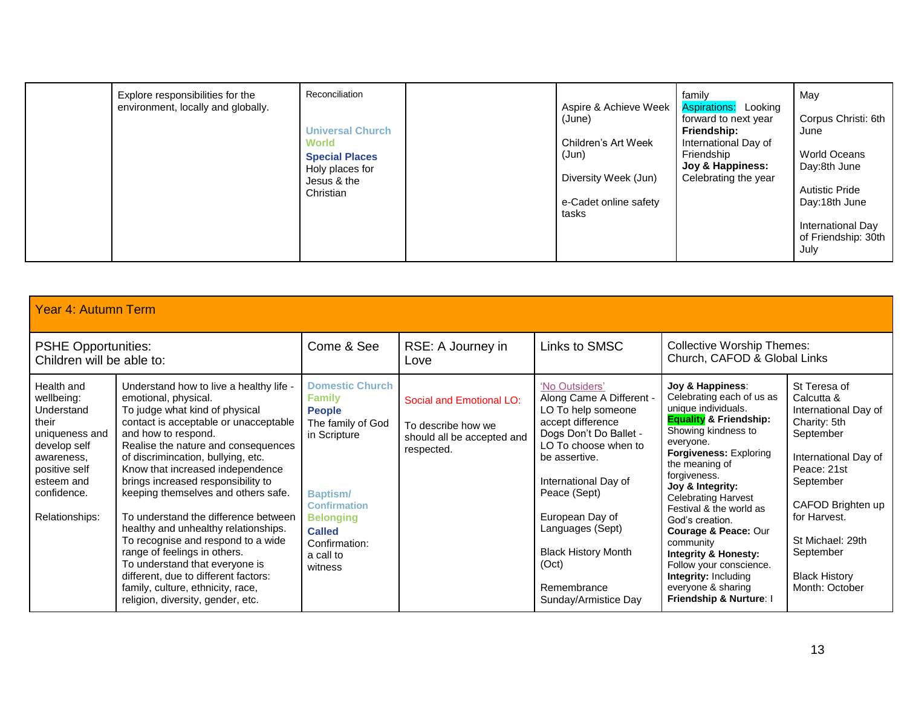|  | Explore responsibilities for the<br>environment, locally and globally. | Reconciliation<br><b>Universal Church</b><br>World<br><b>Special Places</b><br>Holy places for<br>Jesus & the<br>Christian |  | Aspire & Achieve Week<br>(June)<br>Children's Art Week<br>(Jun)<br>Diversity Week (Jun)<br>e-Cadet online safety<br>tasks | family<br><b>Aspirations:</b> Looking<br>forward to next year<br>Friendship:<br>International Day of<br>Friendship<br>Joy & Happiness:<br>Celebrating the year | May<br>Corpus Christi: 6th<br>June<br>World Oceans<br>Day:8th June<br><b>Autistic Pride</b><br>Day:18th June<br>International Day<br>of Friendship: 30th<br>July |
|--|------------------------------------------------------------------------|----------------------------------------------------------------------------------------------------------------------------|--|---------------------------------------------------------------------------------------------------------------------------|----------------------------------------------------------------------------------------------------------------------------------------------------------------|------------------------------------------------------------------------------------------------------------------------------------------------------------------|
|--|------------------------------------------------------------------------|----------------------------------------------------------------------------------------------------------------------------|--|---------------------------------------------------------------------------------------------------------------------------|----------------------------------------------------------------------------------------------------------------------------------------------------------------|------------------------------------------------------------------------------------------------------------------------------------------------------------------|

| <b>Year 4: Autumn Term</b>                                                                                                                                      |                                                                                                                                                                                                                                                                                                                                                                                                                                                                                                                                                                                                                                                                           |                                                                                                                                                                                                                       |                                                                                            |                                                                                                                                                                                                                                                                                                                       |                                                                                                                                                                                                                                                                                                                                                                                                                                                                                                                |                                                                                                                                                                                                                                                     |  |
|-----------------------------------------------------------------------------------------------------------------------------------------------------------------|---------------------------------------------------------------------------------------------------------------------------------------------------------------------------------------------------------------------------------------------------------------------------------------------------------------------------------------------------------------------------------------------------------------------------------------------------------------------------------------------------------------------------------------------------------------------------------------------------------------------------------------------------------------------------|-----------------------------------------------------------------------------------------------------------------------------------------------------------------------------------------------------------------------|--------------------------------------------------------------------------------------------|-----------------------------------------------------------------------------------------------------------------------------------------------------------------------------------------------------------------------------------------------------------------------------------------------------------------------|----------------------------------------------------------------------------------------------------------------------------------------------------------------------------------------------------------------------------------------------------------------------------------------------------------------------------------------------------------------------------------------------------------------------------------------------------------------------------------------------------------------|-----------------------------------------------------------------------------------------------------------------------------------------------------------------------------------------------------------------------------------------------------|--|
| <b>PSHE Opportunities:</b><br>Children will be able to:                                                                                                         |                                                                                                                                                                                                                                                                                                                                                                                                                                                                                                                                                                                                                                                                           | Come & See                                                                                                                                                                                                            | RSE: A Journey in<br>Love                                                                  | Links to SMSC                                                                                                                                                                                                                                                                                                         | <b>Collective Worship Themes:</b><br>Church, CAFOD & Global Links                                                                                                                                                                                                                                                                                                                                                                                                                                              |                                                                                                                                                                                                                                                     |  |
| Health and<br>wellbeing:<br>Understand<br>their<br>uniqueness and<br>develop self<br>awareness,<br>positive self<br>esteem and<br>confidence.<br>Relationships: | Understand how to live a healthy life -<br>emotional, physical.<br>To judge what kind of physical<br>contact is acceptable or unacceptable<br>and how to respond.<br>Realise the nature and consequences<br>of discrimincation, bullying, etc.<br>Know that increased independence<br>brings increased responsibility to<br>keeping themselves and others safe.<br>To understand the difference between<br>healthy and unhealthy relationships.<br>To recognise and respond to a wide<br>range of feelings in others.<br>To understand that everyone is<br>different, due to different factors:<br>family, culture, ethnicity, race,<br>religion, diversity, gender, etc. | <b>Domestic Church</b><br><b>Family</b><br><b>People</b><br>The family of God<br>in Scripture<br><b>Baptism/</b><br><b>Confirmation</b><br><b>Belonging</b><br><b>Called</b><br>Confirmation:<br>a call to<br>witness | Social and Emotional LO:<br>To describe how we<br>should all be accepted and<br>respected. | 'No Outsiders'<br>Along Came A Different -<br>LO To help someone<br>accept difference<br>Dogs Don't Do Ballet -<br>LO To choose when to<br>be assertive.<br>International Day of<br>Peace (Sept)<br>European Day of<br>Languages (Sept)<br><b>Black History Month</b><br>(Oct)<br>Remembrance<br>Sunday/Armistice Day | Joy & Happiness:<br>Celebrating each of us as<br>unique individuals.<br><b>Equality &amp; Friendship:</b><br>Showing kindness to<br>everyone.<br><b>Forgiveness: Exploring</b><br>the meaning of<br>forgiveness.<br>Joy & Integrity:<br><b>Celebrating Harvest</b><br>Festival & the world as<br>God's creation.<br><b>Courage &amp; Peace: Our</b><br>community<br><b>Integrity &amp; Honesty:</b><br>Follow your conscience.<br><b>Integrity: Including</b><br>everyone & sharing<br>Friendship & Nurture: I | St Teresa of<br>Calcutta &<br>International Day of<br>Charity: 5th<br>September<br>International Day of<br>Peace: 21st<br>September<br>CAFOD Brighten up<br>for Harvest.<br>St Michael: 29th<br>September<br><b>Black History</b><br>Month: October |  |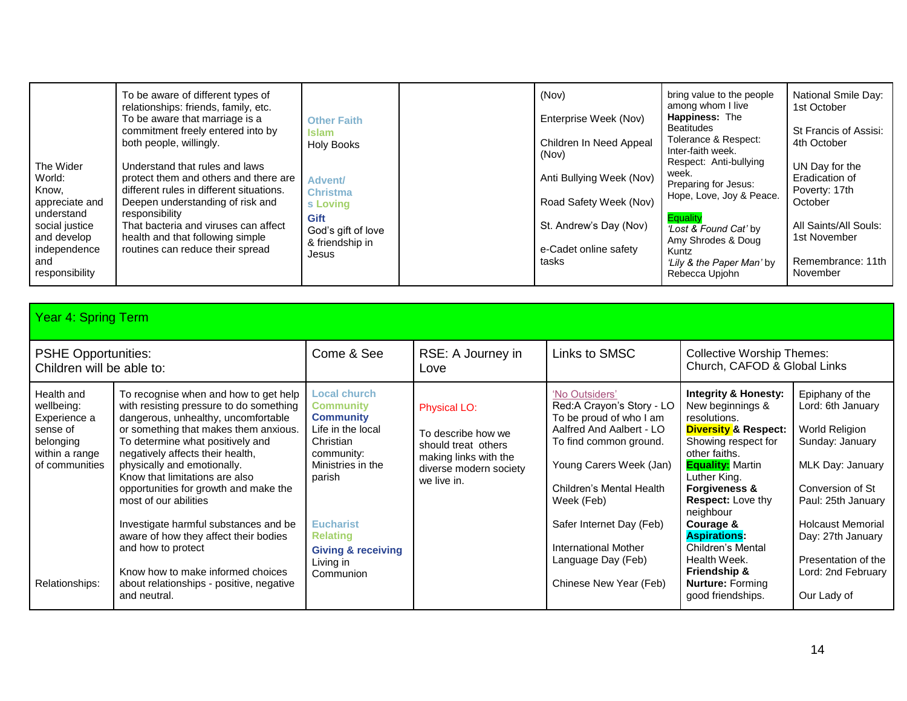| The Wider<br>World:<br>Know.<br>appreciate and<br>understand<br>social justice<br>and develop<br>independence<br>and<br>responsibility | To be aware of different types of<br>relationships: friends, family, etc.<br>To be aware that marriage is a<br>commitment freely entered into by<br>both people, willingly.<br>Understand that rules and laws<br>protect them and others and there are<br>different rules in different situations.<br>Deepen understanding of risk and<br>responsibility<br>That bacteria and viruses can affect<br>health and that following simple<br>routines can reduce their spread | <b>Other Faith</b><br><b>Islam</b><br><b>Holy Books</b><br>Advent/<br><b>Christma</b><br>s Loving<br><b>Gift</b><br>God's gift of love<br>& friendship in<br>Jesus |  | (Nov)<br>Enterprise Week (Nov)<br>Children In Need Appeal<br>(Nov)<br>Anti Bullying Week (Nov)<br>Road Safety Week (Nov)<br>St. Andrew's Day (Nov)<br>e-Cadet online safety<br>tasks | bring value to the people<br>among whom I live<br><b>Happiness: The</b><br><b>Beatitudes</b><br>Tolerance & Respect:<br>Inter-faith week.<br>Respect: Anti-bullying<br>week.<br>Preparing for Jesus:<br>Hope, Love, Joy & Peace.<br><b>Equality</b><br>Lost & Found Cat' by<br>Amy Shrodes & Doug<br>Kuntz<br>'Lily & the Paper Man' by<br>Rebecca Upjohn | National Smile Day:<br>1st October<br>St Francis of Assisi:<br>4th October<br>UN Day for the<br>Eradication of<br>Poverty: 17th<br>October<br>All Saints/All Souls:<br>1st November<br>Remembrance: 11th<br>November |
|----------------------------------------------------------------------------------------------------------------------------------------|--------------------------------------------------------------------------------------------------------------------------------------------------------------------------------------------------------------------------------------------------------------------------------------------------------------------------------------------------------------------------------------------------------------------------------------------------------------------------|--------------------------------------------------------------------------------------------------------------------------------------------------------------------|--|--------------------------------------------------------------------------------------------------------------------------------------------------------------------------------------|-----------------------------------------------------------------------------------------------------------------------------------------------------------------------------------------------------------------------------------------------------------------------------------------------------------------------------------------------------------|----------------------------------------------------------------------------------------------------------------------------------------------------------------------------------------------------------------------|
|----------------------------------------------------------------------------------------------------------------------------------------|--------------------------------------------------------------------------------------------------------------------------------------------------------------------------------------------------------------------------------------------------------------------------------------------------------------------------------------------------------------------------------------------------------------------------------------------------------------------------|--------------------------------------------------------------------------------------------------------------------------------------------------------------------|--|--------------------------------------------------------------------------------------------------------------------------------------------------------------------------------------|-----------------------------------------------------------------------------------------------------------------------------------------------------------------------------------------------------------------------------------------------------------------------------------------------------------------------------------------------------------|----------------------------------------------------------------------------------------------------------------------------------------------------------------------------------------------------------------------|

| Year 4: Spring Term                                                                                                     |                                                                                                                                                                                                                                                                                                                                                                                                                                                                                                                                                                                      |                                                                                                                                                                                                                                       |                                                                                                                             |                                                                                                                                                                                                                                                                                                       |                                                                                                                                                                                                                                                                                                                                                                                                                    |                                                                                                                                                                                                                                                      |  |
|-------------------------------------------------------------------------------------------------------------------------|--------------------------------------------------------------------------------------------------------------------------------------------------------------------------------------------------------------------------------------------------------------------------------------------------------------------------------------------------------------------------------------------------------------------------------------------------------------------------------------------------------------------------------------------------------------------------------------|---------------------------------------------------------------------------------------------------------------------------------------------------------------------------------------------------------------------------------------|-----------------------------------------------------------------------------------------------------------------------------|-------------------------------------------------------------------------------------------------------------------------------------------------------------------------------------------------------------------------------------------------------------------------------------------------------|--------------------------------------------------------------------------------------------------------------------------------------------------------------------------------------------------------------------------------------------------------------------------------------------------------------------------------------------------------------------------------------------------------------------|------------------------------------------------------------------------------------------------------------------------------------------------------------------------------------------------------------------------------------------------------|--|
| <b>PSHE Opportunities:</b><br>Children will be able to:                                                                 |                                                                                                                                                                                                                                                                                                                                                                                                                                                                                                                                                                                      | Come & See                                                                                                                                                                                                                            | Links to SMSC<br>RSE: A Journey in<br>Love                                                                                  |                                                                                                                                                                                                                                                                                                       |                                                                                                                                                                                                                                                                                                                                                                                                                    | <b>Collective Worship Themes:</b><br>Church, CAFOD & Global Links                                                                                                                                                                                    |  |
| Health and<br>wellbeing:<br>Experience a<br>sense of<br>belonging<br>within a range<br>of communities<br>Relationships: | To recognise when and how to get help<br>with resisting pressure to do something<br>dangerous, unhealthy, uncomfortable<br>or something that makes them anxious.<br>To determine what positively and<br>negatively affects their health,<br>physically and emotionally.<br>Know that limitations are also<br>opportunities for growth and make the<br>most of our abilities<br>Investigate harmful substances and be<br>aware of how they affect their bodies<br>and how to protect<br>Know how to make informed choices<br>about relationships - positive, negative<br>and neutral. | Local church<br><b>Community</b><br><b>Community</b><br>Life in the local<br>Christian<br>community:<br>Ministries in the<br>parish<br><b>Eucharist</b><br><b>Relating</b><br><b>Giving &amp; receiving</b><br>Living in<br>Communion | Physical LO:<br>To describe how we<br>should treat others<br>making links with the<br>diverse modern society<br>we live in. | 'No Outsiders'<br>Red:A Crayon's Story - LO<br>To be proud of who I am<br>Aalfred And Aalbert - LO<br>To find common ground.<br>Young Carers Week (Jan)<br>Children's Mental Health<br>Week (Feb)<br>Safer Internet Day (Feb)<br>International Mother<br>Language Day (Feb)<br>Chinese New Year (Feb) | <b>Integrity &amp; Honesty:</b><br>New beginnings &<br>resolutions.<br><b>Diversity &amp; Respect:</b><br>Showing respect for<br>other faiths.<br><b>Equality:</b> Martin<br>Luther King.<br><b>Forgiveness &amp;</b><br><b>Respect:</b> Love thy<br>neighbour<br>Courage &<br><b>Aspirations:</b><br>Children's Mental<br>Health Week.<br><b>Friendship &amp;</b><br><b>Nurture: Forming</b><br>good friendships. | Epiphany of the<br>Lord: 6th January<br>World Religion<br>Sunday: January<br>MLK Day: January<br>Conversion of St<br>Paul: 25th January<br><b>Holcaust Memorial</b><br>Day: 27th January<br>Presentation of the<br>Lord: 2nd February<br>Our Lady of |  |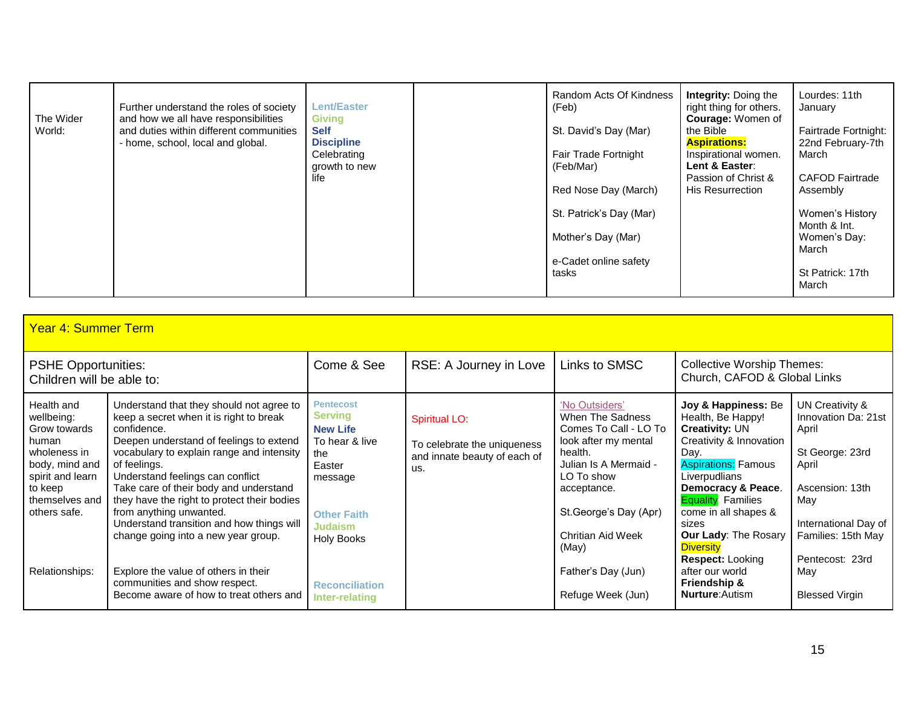| The Wider<br>World: | Further understand the roles of society<br>and how we all have responsibilities<br>and duties within different communities<br>- home, school, local and global. | <b>Lent/Easter</b><br><b>Giving</b><br><b>Self</b><br><b>Discipline</b><br>Celebrating<br>growth to new<br>life | Random Acts Of Kindness<br>(Feb)<br>St. David's Day (Mar)<br>Fair Trade Fortnight<br>(Feb/Mar)<br>Red Nose Day (March)<br>St. Patrick's Day (Mar)<br>Mother's Day (Mar)<br>e-Cadet online safety | <b>Integrity: Doing the</b><br>right thing for others.<br><b>Courage: Women of</b><br>the Bible<br><b>Aspirations:</b><br>Inspirational women.<br>Lent & Easter:<br>Passion of Christ &<br>His Resurrection | Lourdes: 11th<br>January<br>Fairtrade Fortnight:<br>22nd February-7th<br>March<br><b>CAFOD Fairtrade</b><br>Assembly<br>Women's History<br>Month & Int.<br>Women's Day:<br>March |
|---------------------|-----------------------------------------------------------------------------------------------------------------------------------------------------------------|-----------------------------------------------------------------------------------------------------------------|--------------------------------------------------------------------------------------------------------------------------------------------------------------------------------------------------|-------------------------------------------------------------------------------------------------------------------------------------------------------------------------------------------------------------|----------------------------------------------------------------------------------------------------------------------------------------------------------------------------------|
|                     |                                                                                                                                                                 |                                                                                                                 | tasks                                                                                                                                                                                            |                                                                                                                                                                                                             | St Patrick: 17th<br>March                                                                                                                                                        |

| <b>Year 4: Summer Term</b>                                                                                                                           |                                                                                                                                                                                                                                                                                                                                                                                                                                                        |                                                                                                                                                                  |                                                                                     |                                                                                                                                                                                                                    |                                                                                                                                                                                                                                                                                                               |                                                                                                                                                                        |  |  |
|------------------------------------------------------------------------------------------------------------------------------------------------------|--------------------------------------------------------------------------------------------------------------------------------------------------------------------------------------------------------------------------------------------------------------------------------------------------------------------------------------------------------------------------------------------------------------------------------------------------------|------------------------------------------------------------------------------------------------------------------------------------------------------------------|-------------------------------------------------------------------------------------|--------------------------------------------------------------------------------------------------------------------------------------------------------------------------------------------------------------------|---------------------------------------------------------------------------------------------------------------------------------------------------------------------------------------------------------------------------------------------------------------------------------------------------------------|------------------------------------------------------------------------------------------------------------------------------------------------------------------------|--|--|
| <b>PSHE Opportunities:</b><br>Children will be able to:                                                                                              |                                                                                                                                                                                                                                                                                                                                                                                                                                                        | Come & See                                                                                                                                                       | RSE: A Journey in Love                                                              | Links to SMSC                                                                                                                                                                                                      | <b>Collective Worship Themes:</b><br>Church, CAFOD & Global Links                                                                                                                                                                                                                                             |                                                                                                                                                                        |  |  |
| Health and<br>wellbeing:<br>Grow towards<br>human<br>wholeness in<br>body, mind and<br>spirit and learn<br>to keep<br>themselves and<br>others safe. | Understand that they should not agree to<br>keep a secret when it is right to break<br>confidence.<br>Deepen understand of feelings to extend<br>vocabulary to explain range and intensity<br>of feelings.<br>Understand feelings can conflict<br>Take care of their body and understand<br>they have the right to protect their bodies<br>from anything unwanted.<br>Understand transition and how things will<br>change going into a new year group. | <b>Pentecost</b><br><b>Serving</b><br><b>New Life</b><br>To hear & live<br>the<br>Easter<br>message<br><b>Other Faith</b><br><b>Judaism</b><br><b>Holy Books</b> | Spiritual LO:<br>To celebrate the uniqueness<br>and innate beauty of each of<br>us. | 'No Outsiders'<br>When The Sadness<br>Comes To Call - LO To<br>look after my mental<br>health.<br>Julian Is A Mermaid -<br>LO To show<br>acceptance.<br>St.George's Day (Apr)<br><b>Chritian Aid Week</b><br>(May) | Joy & Happiness: Be<br>Health, Be Happy!<br><b>Creativity: UN</b><br>Creativity & Innovation<br>Day.<br><b>Aspirations: Famous</b><br>Liverpudlians<br>Democracy & Peace.<br><b>Equality</b> Families<br>come in all shapes &<br>sizes<br><b>Our Lady: The Rosary</b><br><b>Diversity</b><br>Respect: Looking | UN Creativity &<br>Innovation Da: 21st<br>April<br>St George: 23rd<br>April<br>Ascension: 13th<br>May<br>International Day of<br>Families: 15th May<br>Pentecost: 23rd |  |  |
| Relationships:                                                                                                                                       | Explore the value of others in their<br>communities and show respect.<br>Become aware of how to treat others and                                                                                                                                                                                                                                                                                                                                       | <b>Reconciliation</b><br>Inter-relating                                                                                                                          |                                                                                     | Father's Day (Jun)<br>Refuge Week (Jun)                                                                                                                                                                            | after our world<br><b>Friendship &amp;</b><br><b>Nurture:</b> Autism                                                                                                                                                                                                                                          | May<br><b>Blessed Virgin</b>                                                                                                                                           |  |  |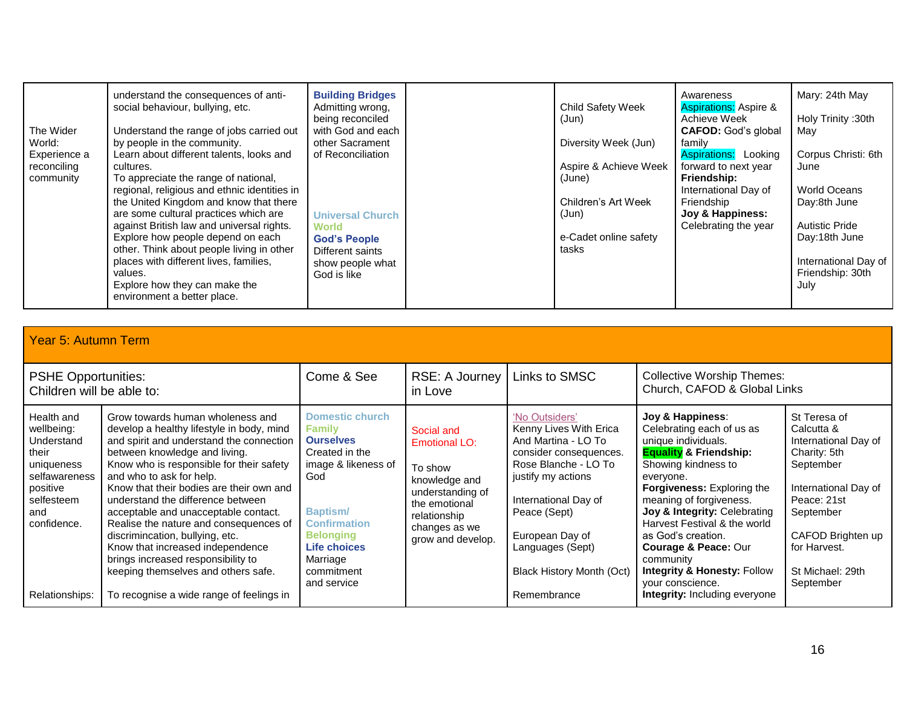| The Wider<br>World:<br>Experience a<br>reconciling<br>community | understand the consequences of anti-<br>social behaviour, bullying, etc.<br>Understand the range of jobs carried out<br>by people in the community.<br>Learn about different talents, looks and<br>cultures.<br>To appreciate the range of national,<br>regional, religious and ethnic identities in<br>the United Kingdom and know that there<br>are some cultural practices which are<br>against British law and universal rights.<br>Explore how people depend on each<br>other. Think about people living in other<br>places with different lives, families, | <b>Building Bridges</b><br>Admitting wrong,<br>being reconciled<br>with God and each<br>other Sacrament<br>of Reconciliation<br><b>Universal Church</b><br>World<br><b>God's People</b><br>Different saints<br>show people what | <b>Child Safety Week</b><br>(Jun)<br>Diversity Week (Jun)<br>Aspire & Achieve Week<br>(June)<br>Children's Art Week<br>(Jun)<br>e-Cadet online safety<br>tasks | Awareness<br><b>Aspirations: Aspire &amp;</b><br>Achieve Week<br><b>CAFOD:</b> God's global<br>family<br><b>Aspirations:</b> Looking<br>forward to next year<br>Friendship:<br>International Day of<br>Friendship<br>Joy & Happiness:<br>Celebrating the year | Mary: 24th May<br>Holy Trinity: 30th<br>May<br>Corpus Christi: 6th<br>June<br><b>World Oceans</b><br>Day:8th June<br><b>Autistic Pride</b><br>Day:18th June<br>International Day of |
|-----------------------------------------------------------------|------------------------------------------------------------------------------------------------------------------------------------------------------------------------------------------------------------------------------------------------------------------------------------------------------------------------------------------------------------------------------------------------------------------------------------------------------------------------------------------------------------------------------------------------------------------|---------------------------------------------------------------------------------------------------------------------------------------------------------------------------------------------------------------------------------|----------------------------------------------------------------------------------------------------------------------------------------------------------------|---------------------------------------------------------------------------------------------------------------------------------------------------------------------------------------------------------------------------------------------------------------|-------------------------------------------------------------------------------------------------------------------------------------------------------------------------------------|
|                                                                 | values.<br>Explore how they can make the<br>environment a better place.                                                                                                                                                                                                                                                                                                                                                                                                                                                                                          | God is like                                                                                                                                                                                                                     |                                                                                                                                                                |                                                                                                                                                                                                                                                               | Friendship: 30th<br>July                                                                                                                                                            |

|                                                                                                                                                  | <b>Year 5: Autumn Term</b>                                                                                                                                                                                                                                                                                                                                                                                                                                                                                                                                                                            |                                                                                                                                                                                                                                    |                                                                                                                                                    |                                                                                                                                                                                                                                                                           |                                                                                                                                                                                                                                                                                                                                                                                                                                                           |                                                                                                                                                                                                           |  |  |  |
|--------------------------------------------------------------------------------------------------------------------------------------------------|-------------------------------------------------------------------------------------------------------------------------------------------------------------------------------------------------------------------------------------------------------------------------------------------------------------------------------------------------------------------------------------------------------------------------------------------------------------------------------------------------------------------------------------------------------------------------------------------------------|------------------------------------------------------------------------------------------------------------------------------------------------------------------------------------------------------------------------------------|----------------------------------------------------------------------------------------------------------------------------------------------------|---------------------------------------------------------------------------------------------------------------------------------------------------------------------------------------------------------------------------------------------------------------------------|-----------------------------------------------------------------------------------------------------------------------------------------------------------------------------------------------------------------------------------------------------------------------------------------------------------------------------------------------------------------------------------------------------------------------------------------------------------|-----------------------------------------------------------------------------------------------------------------------------------------------------------------------------------------------------------|--|--|--|
| <b>PSHE Opportunities:</b><br>Children will be able to:                                                                                          |                                                                                                                                                                                                                                                                                                                                                                                                                                                                                                                                                                                                       | Come & See                                                                                                                                                                                                                         | Links to SMSC<br>RSE: A Journey<br>in Love                                                                                                         |                                                                                                                                                                                                                                                                           | <b>Collective Worship Themes:</b><br>Church, CAFOD & Global Links                                                                                                                                                                                                                                                                                                                                                                                         |                                                                                                                                                                                                           |  |  |  |
| Health and<br>wellbeing:<br>Understand<br>their<br>uniqueness<br>selfawareness<br>positive<br>selfesteem<br>and<br>confidence.<br>Relationships: | Grow towards human wholeness and<br>develop a healthy lifestyle in body, mind<br>and spirit and understand the connection<br>between knowledge and living.<br>Know who is responsible for their safety<br>and who to ask for help.<br>Know that their bodies are their own and<br>understand the difference between<br>acceptable and unacceptable contact.<br>Realise the nature and consequences of<br>discrimincation, bullying, etc.<br>Know that increased independence<br>brings increased responsibility to<br>keeping themselves and others safe.<br>To recognise a wide range of feelings in | <b>Domestic church</b><br><b>Family</b><br><b>Ourselves</b><br>Created in the<br>image & likeness of<br>God<br><b>Baptism/</b><br><b>Confirmation</b><br><b>Belonging</b><br>Life choices<br>Marriage<br>commitment<br>and service | Social and<br>Emotional LO:<br>To show<br>knowledge and<br>understanding of<br>the emotional<br>relationship<br>changes as we<br>grow and develop. | 'No Outsiders'<br>Kenny Lives With Erica<br>And Martina - LO To<br>consider consequences.<br>Rose Blanche - LO To<br>justify my actions<br>International Day of<br>Peace (Sept)<br>European Day of<br>Languages (Sept)<br><b>Black History Month (Oct)</b><br>Remembrance | Joy & Happiness:<br>Celebrating each of us as<br>unique individuals.<br><b>Equality &amp; Friendship:</b><br>Showing kindness to<br>everyone.<br><b>Forgiveness:</b> Exploring the<br>meaning of forgiveness.<br>Joy & Integrity: Celebrating<br>Harvest Festival & the world<br>as God's creation.<br><b>Courage &amp; Peace: Our</b><br>community<br><b>Integrity &amp; Honesty: Follow</b><br>your conscience.<br><b>Integrity:</b> Including everyone | St Teresa of<br>Calcutta &<br>International Day of<br>Charity: 5th<br>September<br>International Day of<br>Peace: 21st<br>September<br>CAFOD Brighten up<br>for Harvest.<br>St Michael: 29th<br>September |  |  |  |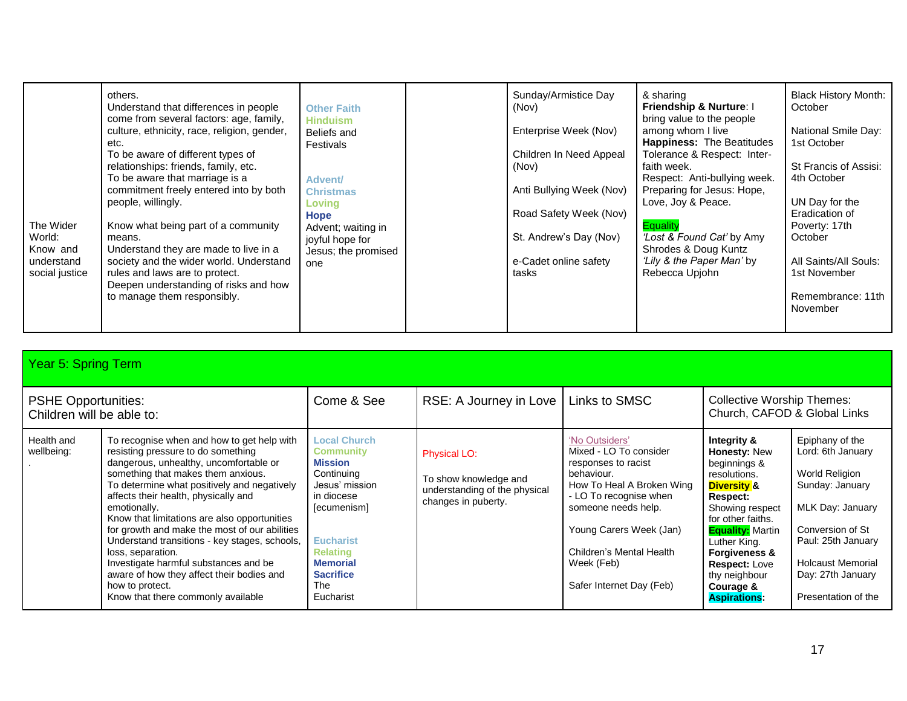| The Wider<br>World:<br>Know and<br>understand<br>social justice | others.<br>Understand that differences in people<br>come from several factors: age, family,<br>culture, ethnicity, race, religion, gender,<br>etc.<br>To be aware of different types of<br>relationships: friends, family, etc.<br>To be aware that marriage is a<br>commitment freely entered into by both<br>people, willingly.<br>Know what being part of a community<br>means.<br>Understand they are made to live in a<br>society and the wider world. Understand<br>rules and laws are to protect.<br>Deepen understanding of risks and how<br>to manage them responsibly. | <b>Other Faith</b><br><b>Hinduism</b><br>Beliefs and<br>Festivals<br><b>Advent/</b><br><b>Christmas</b><br>Loving<br>Hope<br>Advent; waiting in<br>joyful hope for<br>Jesus; the promised<br>one |  | Sunday/Armistice Day<br>(Nov)<br>Enterprise Week (Nov)<br>Children In Need Appeal<br>(Nov)<br>Anti Bullying Week (Nov)<br>Road Safety Week (Nov)<br>St. Andrew's Day (Nov)<br>e-Cadet online safety<br>tasks | & sharing<br><b>Friendship &amp; Nurture: I</b><br>bring value to the people<br>among whom I live<br>Happiness: The Beatitudes<br>Tolerance & Respect: Inter-<br>faith week.<br>Respect: Anti-bullying week.<br>Preparing for Jesus: Hope,<br>Love, Joy & Peace.<br><b>Equality</b><br>Lost & Found Cat' by Amy<br>Shrodes & Doug Kuntz<br>'Lily & the Paper Man' by<br>Rebecca Upjohn | <b>Black History Month:</b><br>October<br>National Smile Day:<br>1st October<br>St Francis of Assisi:<br>4th October<br>UN Day for the<br>Eradication of<br>Poverty: 17th<br>October<br>All Saints/All Souls:<br>1st November<br>Remembrance: 11th<br>November |
|-----------------------------------------------------------------|----------------------------------------------------------------------------------------------------------------------------------------------------------------------------------------------------------------------------------------------------------------------------------------------------------------------------------------------------------------------------------------------------------------------------------------------------------------------------------------------------------------------------------------------------------------------------------|--------------------------------------------------------------------------------------------------------------------------------------------------------------------------------------------------|--|--------------------------------------------------------------------------------------------------------------------------------------------------------------------------------------------------------------|----------------------------------------------------------------------------------------------------------------------------------------------------------------------------------------------------------------------------------------------------------------------------------------------------------------------------------------------------------------------------------------|----------------------------------------------------------------------------------------------------------------------------------------------------------------------------------------------------------------------------------------------------------------|
|-----------------------------------------------------------------|----------------------------------------------------------------------------------------------------------------------------------------------------------------------------------------------------------------------------------------------------------------------------------------------------------------------------------------------------------------------------------------------------------------------------------------------------------------------------------------------------------------------------------------------------------------------------------|--------------------------------------------------------------------------------------------------------------------------------------------------------------------------------------------------|--|--------------------------------------------------------------------------------------------------------------------------------------------------------------------------------------------------------------|----------------------------------------------------------------------------------------------------------------------------------------------------------------------------------------------------------------------------------------------------------------------------------------------------------------------------------------------------------------------------------------|----------------------------------------------------------------------------------------------------------------------------------------------------------------------------------------------------------------------------------------------------------------|

| Year 5: Spring Term                                     |                                                                                                                                                                                                                                                                                                                                                                                                                                                                                                                                                                                               |                                                                                                                                                                                                                                 |                                                                                               |                                                                                                                                                                                                                                                              |                                                                                                                                                                                                                                                                                                             |                                                                                                                                                                                                                 |  |
|---------------------------------------------------------|-----------------------------------------------------------------------------------------------------------------------------------------------------------------------------------------------------------------------------------------------------------------------------------------------------------------------------------------------------------------------------------------------------------------------------------------------------------------------------------------------------------------------------------------------------------------------------------------------|---------------------------------------------------------------------------------------------------------------------------------------------------------------------------------------------------------------------------------|-----------------------------------------------------------------------------------------------|--------------------------------------------------------------------------------------------------------------------------------------------------------------------------------------------------------------------------------------------------------------|-------------------------------------------------------------------------------------------------------------------------------------------------------------------------------------------------------------------------------------------------------------------------------------------------------------|-----------------------------------------------------------------------------------------------------------------------------------------------------------------------------------------------------------------|--|
| <b>PSHE Opportunities:</b><br>Children will be able to: |                                                                                                                                                                                                                                                                                                                                                                                                                                                                                                                                                                                               | Come & See                                                                                                                                                                                                                      | RSE: A Journey in Love                                                                        | Links to SMSC                                                                                                                                                                                                                                                | <b>Collective Worship Themes:</b><br>Church, CAFOD & Global Links                                                                                                                                                                                                                                           |                                                                                                                                                                                                                 |  |
| Health and<br>wellbeing:                                | To recognise when and how to get help with<br>resisting pressure to do something<br>dangerous, unhealthy, uncomfortable or<br>something that makes them anxious.<br>To determine what positively and negatively<br>affects their health, physically and<br>emotionally.<br>Know that limitations are also opportunities<br>for growth and make the most of our abilities<br>Understand transitions - key stages, schools,<br>loss, separation.<br>Investigate harmful substances and be<br>aware of how they affect their bodies and<br>how to protect.<br>Know that there commonly available | <b>Local Church</b><br><b>Community</b><br><b>Mission</b><br>Continuing<br>Jesus' mission<br>in diocese<br>[ecumenism]<br><b>Eucharist</b><br><b>Relating</b><br><b>Memorial</b><br><b>Sacrifice</b><br><b>The</b><br>Eucharist | Physical LO:<br>To show knowledge and<br>understanding of the physical<br>changes in puberty. | 'No Outsiders'<br>Mixed - LO To consider<br>responses to racist<br>behaviour.<br>How To Heal A Broken Wing<br>- LO To recognise when<br>someone needs help.<br>Young Carers Week (Jan)<br>Children's Mental Health<br>Week (Feb)<br>Safer Internet Day (Feb) | Integrity &<br><b>Honesty: New</b><br>beginnings &<br>resolutions.<br><b>Diversity &amp;</b><br><b>Respect:</b><br>Showing respect<br>for other faiths.<br><b>Equality:</b> Martin<br>Luther King.<br><b>Forgiveness &amp;</b><br><b>Respect: Love</b><br>thy neighbour<br>Courage &<br><b>Aspirations:</b> | Epiphany of the<br>Lord: 6th January<br>World Religion<br>Sunday: January<br>MLK Day: January<br>Conversion of St<br>Paul: 25th January<br><b>Holcaust Memorial</b><br>Day: 27th January<br>Presentation of the |  |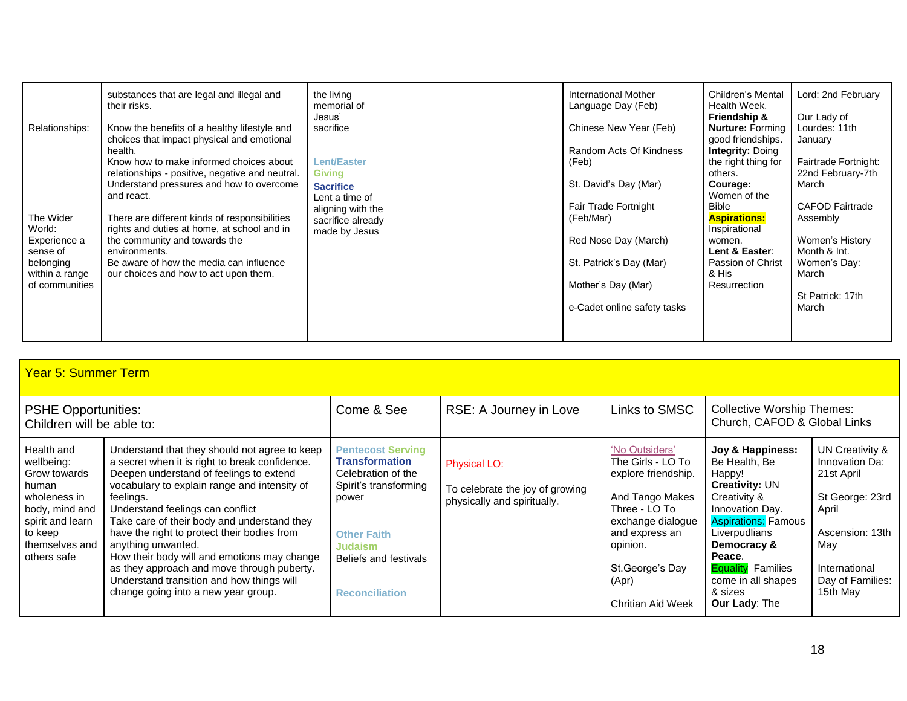| substances that are legal and illegal and<br>the living<br>their risks.<br>memorial of<br>Jesus'<br>Relationships:<br>Know the benefits of a healthy lifestyle and<br>sacrifice<br>choices that impact physical and emotional<br>health.<br>Know how to make informed choices about<br><b>Lent/Easter</b><br><b>Giving</b><br>relationships - positive, negative and neutral.<br>Understand pressures and how to overcome<br><b>Sacrifice</b><br>and react.<br>Lent a time of<br>aligning with the<br>The Wider<br>There are different kinds of responsibilities<br>sacrifice already<br>rights and duties at home, at school and in<br>World:<br>made by Jesus<br>the community and towards the<br>Experience a<br>sense of<br>environments.<br>Be aware of how the media can influence<br>belonging<br>our choices and how to act upon them.<br>within a range<br>of communities | International Mother<br>Language Day (Feb)<br>Chinese New Year (Feb)<br>Random Acts Of Kindness<br>(Feb)<br>St. David's Day (Mar)<br>Fair Trade Fortnight<br>(Feb/Mar)<br>Red Nose Day (March)<br>St. Patrick's Day (Mar)<br>Mother's Day (Mar)<br>e-Cadet online safety tasks | Children's Mental<br>Health Week.<br>Friendship &<br><b>Nurture: Forming</b><br>good friendships.<br><b>Integrity: Doing</b><br>the right thing for<br>others.<br>Courage:<br>Women of the<br><b>Bible</b><br><b>Aspirations:</b><br>Inspirational<br>women.<br>Lent & Easter:<br>Passion of Christ<br>& His<br><b>Resurrection</b> | Lord: 2nd February<br>Our Lady of<br>Lourdes: 11th<br>January<br>Fairtrade Fortnight:<br>22nd February-7th<br>March<br><b>CAFOD Fairtrade</b><br>Assembly<br>Women's History<br>Month & Int.<br>Women's Day:<br>March<br>St Patrick: 17th<br>March |
|------------------------------------------------------------------------------------------------------------------------------------------------------------------------------------------------------------------------------------------------------------------------------------------------------------------------------------------------------------------------------------------------------------------------------------------------------------------------------------------------------------------------------------------------------------------------------------------------------------------------------------------------------------------------------------------------------------------------------------------------------------------------------------------------------------------------------------------------------------------------------------|--------------------------------------------------------------------------------------------------------------------------------------------------------------------------------------------------------------------------------------------------------------------------------|-------------------------------------------------------------------------------------------------------------------------------------------------------------------------------------------------------------------------------------------------------------------------------------------------------------------------------------|----------------------------------------------------------------------------------------------------------------------------------------------------------------------------------------------------------------------------------------------------|
|------------------------------------------------------------------------------------------------------------------------------------------------------------------------------------------------------------------------------------------------------------------------------------------------------------------------------------------------------------------------------------------------------------------------------------------------------------------------------------------------------------------------------------------------------------------------------------------------------------------------------------------------------------------------------------------------------------------------------------------------------------------------------------------------------------------------------------------------------------------------------------|--------------------------------------------------------------------------------------------------------------------------------------------------------------------------------------------------------------------------------------------------------------------------------|-------------------------------------------------------------------------------------------------------------------------------------------------------------------------------------------------------------------------------------------------------------------------------------------------------------------------------------|----------------------------------------------------------------------------------------------------------------------------------------------------------------------------------------------------------------------------------------------------|

| Year 5: Summer Term                                                                                                                                 |                                                                                                                                                                                                                                                                                                                                                                                                                                                                                                                                                  |                                                                                                                                                                                                     |                                                                                       |                                                                                                                                                                                                     |                                                                                                                                                                                                                                                                      |                                                                                                                                                        |
|-----------------------------------------------------------------------------------------------------------------------------------------------------|--------------------------------------------------------------------------------------------------------------------------------------------------------------------------------------------------------------------------------------------------------------------------------------------------------------------------------------------------------------------------------------------------------------------------------------------------------------------------------------------------------------------------------------------------|-----------------------------------------------------------------------------------------------------------------------------------------------------------------------------------------------------|---------------------------------------------------------------------------------------|-----------------------------------------------------------------------------------------------------------------------------------------------------------------------------------------------------|----------------------------------------------------------------------------------------------------------------------------------------------------------------------------------------------------------------------------------------------------------------------|--------------------------------------------------------------------------------------------------------------------------------------------------------|
| <b>PSHE Opportunities:</b><br>Children will be able to:                                                                                             |                                                                                                                                                                                                                                                                                                                                                                                                                                                                                                                                                  | Come & See                                                                                                                                                                                          | RSE: A Journey in Love                                                                | Links to SMSC                                                                                                                                                                                       | <b>Collective Worship Themes:</b><br>Church, CAFOD & Global Links                                                                                                                                                                                                    |                                                                                                                                                        |
| Health and<br>wellbeing:<br>Grow towards<br>human<br>wholeness in<br>body, mind and<br>spirit and learn<br>to keep<br>themselves and<br>others safe | Understand that they should not agree to keep<br>a secret when it is right to break confidence.<br>Deepen understand of feelings to extend<br>vocabulary to explain range and intensity of<br>feelings.<br>Understand feelings can conflict<br>Take care of their body and understand they<br>have the right to protect their bodies from<br>anything unwanted.<br>How their body will and emotions may change<br>as they approach and move through puberty.<br>Understand transition and how things will<br>change going into a new year group. | <b>Pentecost Serving</b><br><b>Transformation</b><br>Celebration of the<br>Spirit's transforming<br>power<br><b>Other Faith</b><br><b>Judaism</b><br>Beliefs and festivals<br><b>Reconciliation</b> | <b>Physical LO:</b><br>To celebrate the joy of growing<br>physically and spiritually. | 'No Outsiders'<br>The Girls - LO To<br>explore friendship.<br>And Tango Makes<br>Three - LO To<br>exchange dialogue<br>and express an<br>opinion.<br>St. George's Day<br>(Apr)<br>Chritian Aid Week | Joy & Happiness:<br>Be Health, Be<br>Happy!<br><b>Creativity: UN</b><br>Creativity &<br>Innovation Day.<br><b>Aspirations: Famous</b><br>Liverpudlians<br>Democracy &<br>Peace.<br><b>Equality</b> Families<br>come in all shapes<br>& sizes<br><b>Our Lady: The</b> | UN Creativity &<br>Innovation Da:<br>21st April<br>St George: 23rd<br>April<br>Ascension: 13th<br>May<br>International<br>Day of Families:<br>15th May |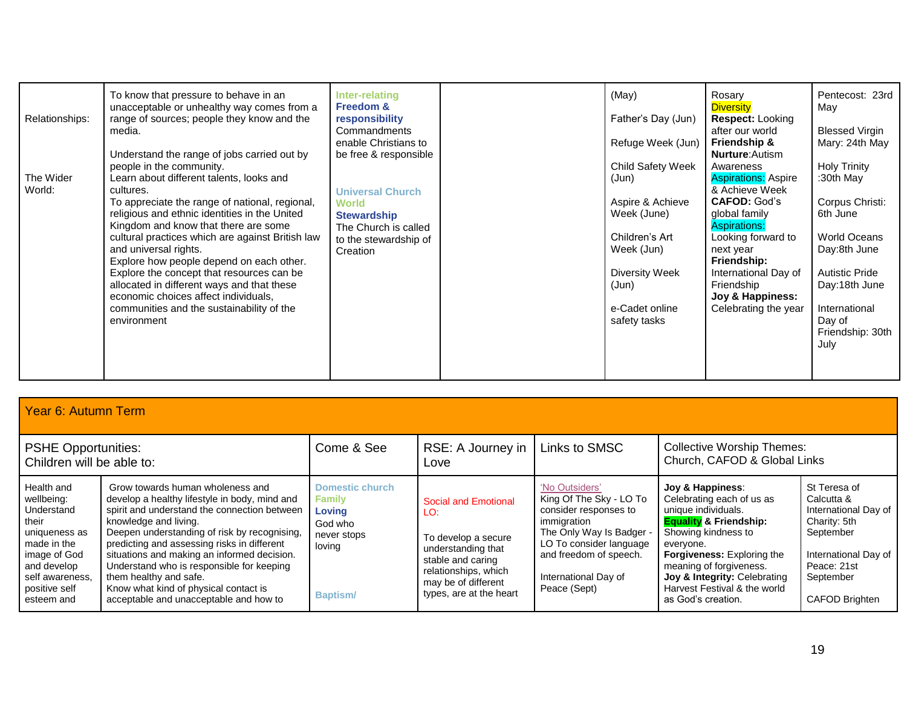| Relationships:<br>The Wider | To know that pressure to behave in an<br>unacceptable or unhealthy way comes from a<br>range of sources; people they know and the<br>media.<br>Understand the range of jobs carried out by<br>people in the community.<br>Learn about different talents, looks and                                                                                                                                                                                                           | Inter-relating<br><b>Freedom &amp;</b><br>responsibility<br>Commandments<br>enable Christians to<br>be free & responsible  | (May)<br>Father's Day (Jun)<br>Refuge Week (Jun)<br>Child Safety Week<br>(Jun)                                                      | Rosary<br><b>Diversity</b><br><b>Respect: Looking</b><br>after our world<br><b>Friendship &amp;</b><br><b>Nurture:</b> Autism<br>Awareness<br><b>Aspirations: Aspire</b>                                          | Pentecost: 23rd<br>May<br><b>Blessed Virgin</b><br>Mary: 24th May<br><b>Holy Trinity</b><br>:30th May                                                               |
|-----------------------------|------------------------------------------------------------------------------------------------------------------------------------------------------------------------------------------------------------------------------------------------------------------------------------------------------------------------------------------------------------------------------------------------------------------------------------------------------------------------------|----------------------------------------------------------------------------------------------------------------------------|-------------------------------------------------------------------------------------------------------------------------------------|-------------------------------------------------------------------------------------------------------------------------------------------------------------------------------------------------------------------|---------------------------------------------------------------------------------------------------------------------------------------------------------------------|
| World:                      | cultures.<br>To appreciate the range of national, regional,<br>religious and ethnic identities in the United<br>Kingdom and know that there are some<br>cultural practices which are against British law<br>and universal rights.<br>Explore how people depend on each other.<br>Explore the concept that resources can be<br>allocated in different ways and that these<br>economic choices affect individuals,<br>communities and the sustainability of the<br>environment | <b>Universal Church</b><br><b>World</b><br><b>Stewardship</b><br>The Church is called<br>to the stewardship of<br>Creation | Aspire & Achieve<br>Week (June)<br>Children's Art<br>Week (Jun)<br><b>Diversity Week</b><br>(Jun)<br>e-Cadet online<br>safety tasks | & Achieve Week<br><b>CAFOD: God's</b><br>global family<br><b>Aspirations:</b><br>Looking forward to<br>next year<br>Friendship:<br>International Day of<br>Friendship<br>Joy & Happiness:<br>Celebrating the year | Corpus Christi:<br>6th June<br><b>World Oceans</b><br>Day:8th June<br><b>Autistic Pride</b><br>Day:18th June<br>International<br>Day of<br>Friendship: 30th<br>July |

| Year 6: Autumn Term |  |
|---------------------|--|

| <b>PSHE Opportunities:</b><br>Children will be able to:                                                                                                          |                                                                                                                                                                                                                                                                                                                                                                                                                                                                    | Come & See                                                                                               | RSE: A Journey in<br>Love                                                                                                                                               | Links to SMSC                                                                                                                                                                                              | <b>Collective Worship Themes:</b><br>Church, CAFOD & Global Links                                                                                                                                                                                                                                   |                                                                                                                                                              |
|------------------------------------------------------------------------------------------------------------------------------------------------------------------|--------------------------------------------------------------------------------------------------------------------------------------------------------------------------------------------------------------------------------------------------------------------------------------------------------------------------------------------------------------------------------------------------------------------------------------------------------------------|----------------------------------------------------------------------------------------------------------|-------------------------------------------------------------------------------------------------------------------------------------------------------------------------|------------------------------------------------------------------------------------------------------------------------------------------------------------------------------------------------------------|-----------------------------------------------------------------------------------------------------------------------------------------------------------------------------------------------------------------------------------------------------------------------------------------------------|--------------------------------------------------------------------------------------------------------------------------------------------------------------|
| Health and<br>wellbeing:<br>Understand<br>their<br>uniqueness as<br>made in the<br>image of God<br>and develop<br>self awareness.<br>positive self<br>esteem and | Grow towards human wholeness and<br>develop a healthy lifestyle in body, mind and<br>spirit and understand the connection between<br>knowledge and living.<br>Deepen understanding of risk by recognising,<br>predicting and assessing risks in different<br>situations and making an informed decision.<br>Understand who is responsible for keeping<br>them healthy and safe.<br>Know what kind of physical contact is<br>acceptable and unacceptable and how to | <b>Domestic church</b><br><b>Family</b><br>Lovina<br>God who<br>never stops<br>loving<br><b>Baptism/</b> | Social and Emotional<br>LO:<br>To develop a secure<br>understanding that<br>stable and caring<br>relationships, which<br>may be of different<br>types, are at the heart | 'No Outsiders'<br>King Of The Sky - LO To<br>consider responses to<br>immigration<br>The Only Way Is Badger -<br>LO To consider language<br>and freedom of speech.<br>International Day of<br>Peace (Sept) | Joy & Happiness:<br>Celebrating each of us as<br>unique individuals.<br><b>Equality &amp; Friendship:</b><br>Showing kindness to<br>everyone.<br><b>Forgiveness:</b> Exploring the<br>meaning of forgiveness.<br>Joy & Integrity: Celebrating<br>Harvest Festival & the world<br>as God's creation. | St Teresa of<br>Calcutta &<br>International Day of<br>Charity: 5th<br>September<br>International Day of<br>Peace: 21st<br>September<br><b>CAFOD Brighten</b> |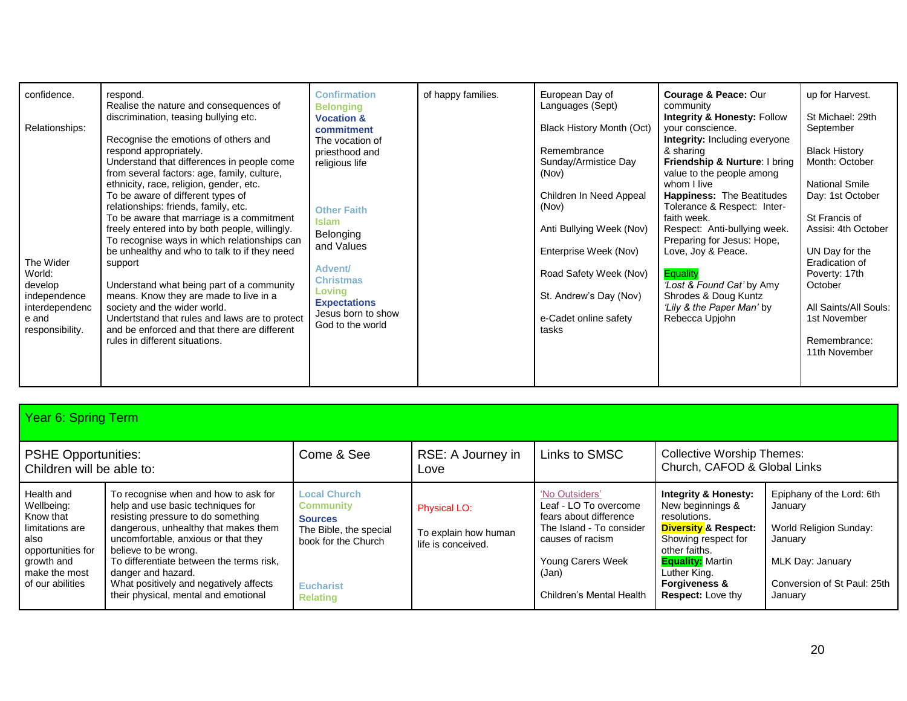| confidence.<br>Relationships:<br>The Wider<br>World:<br>develop<br>independence<br>interdependenc<br>e and<br>responsibility. | respond.<br>Realise the nature and consequences of<br>discrimination, teasing bullying etc.<br>Recognise the emotions of others and<br>respond appropriately.<br>Understand that differences in people come<br>from several factors: age, family, culture,<br>ethnicity, race, religion, gender, etc.<br>To be aware of different types of<br>relationships: friends, family, etc.<br>To be aware that marriage is a commitment<br>freely entered into by both people, willingly.<br>To recognise ways in which relationships can<br>be unhealthy and who to talk to if they need<br>support<br>Understand what being part of a community<br>means. Know they are made to live in a<br>society and the wider world.<br>Undertstand that rules and laws are to protect<br>and be enforced and that there are different<br>rules in different situations. | <b>Confirmation</b><br><b>Belonging</b><br><b>Vocation &amp;</b><br>commitment<br>The vocation of<br>priesthood and<br>religious life<br><b>Other Faith</b><br><b>Islam</b><br>Belonging<br>and Values<br>Advent/<br><b>Christmas</b><br>Loving<br><b>Expectations</b><br>Jesus born to show<br>God to the world | of happy families. | European Day of<br>Languages (Sept)<br>Black History Month (Oct)<br>Remembrance<br>Sunday/Armistice Day<br>(Nov)<br>Children In Need Appeal<br>(Nov)<br>Anti Bullying Week (Nov)<br>Enterprise Week (Nov)<br>Road Safety Week (Nov)<br>St. Andrew's Day (Nov)<br>e-Cadet online safety<br>tasks | <b>Courage &amp; Peace: Our</b><br>community<br><b>Integrity &amp; Honesty: Follow</b><br>your conscience.<br><b>Integrity:</b> Including everyone<br>& sharing<br>Friendship & Nurture: I bring<br>value to the people among<br>whom I live<br><b>Happiness: The Beatitudes</b><br>Tolerance & Respect: Inter-<br>faith week.<br>Respect: Anti-bullying week.<br>Preparing for Jesus: Hope,<br>Love, Joy & Peace.<br><b>Equality</b><br>'Lost & Found Cat' by Amy<br>Shrodes & Doug Kuntz<br>'Lily & the Paper Man' by<br>Rebecca Upjohn | up for Harvest.<br>St Michael: 29th<br>September<br><b>Black History</b><br>Month: October<br><b>National Smile</b><br>Day: 1st October<br>St Francis of<br>Assisi: 4th October<br>UN Day for the<br>Eradication of<br>Poverty: 17th<br>October<br>All Saints/All Souls:<br>1st November<br>Remembrance:<br>11th November |
|-------------------------------------------------------------------------------------------------------------------------------|---------------------------------------------------------------------------------------------------------------------------------------------------------------------------------------------------------------------------------------------------------------------------------------------------------------------------------------------------------------------------------------------------------------------------------------------------------------------------------------------------------------------------------------------------------------------------------------------------------------------------------------------------------------------------------------------------------------------------------------------------------------------------------------------------------------------------------------------------------|------------------------------------------------------------------------------------------------------------------------------------------------------------------------------------------------------------------------------------------------------------------------------------------------------------------|--------------------|-------------------------------------------------------------------------------------------------------------------------------------------------------------------------------------------------------------------------------------------------------------------------------------------------|-------------------------------------------------------------------------------------------------------------------------------------------------------------------------------------------------------------------------------------------------------------------------------------------------------------------------------------------------------------------------------------------------------------------------------------------------------------------------------------------------------------------------------------------|---------------------------------------------------------------------------------------------------------------------------------------------------------------------------------------------------------------------------------------------------------------------------------------------------------------------------|
|-------------------------------------------------------------------------------------------------------------------------------|---------------------------------------------------------------------------------------------------------------------------------------------------------------------------------------------------------------------------------------------------------------------------------------------------------------------------------------------------------------------------------------------------------------------------------------------------------------------------------------------------------------------------------------------------------------------------------------------------------------------------------------------------------------------------------------------------------------------------------------------------------------------------------------------------------------------------------------------------------|------------------------------------------------------------------------------------------------------------------------------------------------------------------------------------------------------------------------------------------------------------------------------------------------------------------|--------------------|-------------------------------------------------------------------------------------------------------------------------------------------------------------------------------------------------------------------------------------------------------------------------------------------------|-------------------------------------------------------------------------------------------------------------------------------------------------------------------------------------------------------------------------------------------------------------------------------------------------------------------------------------------------------------------------------------------------------------------------------------------------------------------------------------------------------------------------------------------|---------------------------------------------------------------------------------------------------------------------------------------------------------------------------------------------------------------------------------------------------------------------------------------------------------------------------|

| Year 6: Spring Term |  |  |  |
|---------------------|--|--|--|
|---------------------|--|--|--|

| <b>PSHE Opportunities:</b><br>Children will be able to:                                                                                  |                                                                                                                                                                                                                                                                                                                                                                            | Come & See                                                                                                                                        | RSE: A Journey in<br>Love                                         | Links to SMSC                                                                                                                                                               | <b>Collective Worship Themes:</b><br>Church, CAFOD & Global Links                                                                                                                                                                                 |                                                                                                                                         |
|------------------------------------------------------------------------------------------------------------------------------------------|----------------------------------------------------------------------------------------------------------------------------------------------------------------------------------------------------------------------------------------------------------------------------------------------------------------------------------------------------------------------------|---------------------------------------------------------------------------------------------------------------------------------------------------|-------------------------------------------------------------------|-----------------------------------------------------------------------------------------------------------------------------------------------------------------------------|---------------------------------------------------------------------------------------------------------------------------------------------------------------------------------------------------------------------------------------------------|-----------------------------------------------------------------------------------------------------------------------------------------|
| Health and<br>Wellbeing:<br>Know that<br>limitations are<br>also<br>opportunities for<br>growth and<br>make the most<br>of our abilities | To recognise when and how to ask for<br>help and use basic techniques for<br>resisting pressure to do something<br>dangerous, unhealthy that makes them<br>uncomfortable, anxious or that they<br>believe to be wrong.<br>To differentiate between the terms risk.<br>danger and hazard.<br>What positively and negatively affects<br>their physical, mental and emotional | <b>Local Church</b><br><b>Community</b><br><b>Sources</b><br>The Bible, the special<br>book for the Church<br><b>Eucharist</b><br><b>Relating</b> | <b>Physical LO:</b><br>To explain how human<br>life is conceived. | 'No Outsiders'<br>Leaf - LO To overcome<br>fears about difference<br>The Island - To consider<br>causes of racism<br>Young Carers Week<br>(Jan)<br>Children's Mental Health | <b>Integrity &amp; Honesty:</b><br>New beginnings &<br>resolutions.<br><b>Diversity &amp; Respect:</b><br>Showing respect for<br>other faiths.<br><b>Equality:</b> Martin<br>Luther King.<br><b>Forgiveness &amp;</b><br><b>Respect:</b> Love thy | Epiphany of the Lord: 6th<br>January<br>World Religion Sunday:<br>January<br>MLK Day: January<br>Conversion of St Paul: 25th<br>January |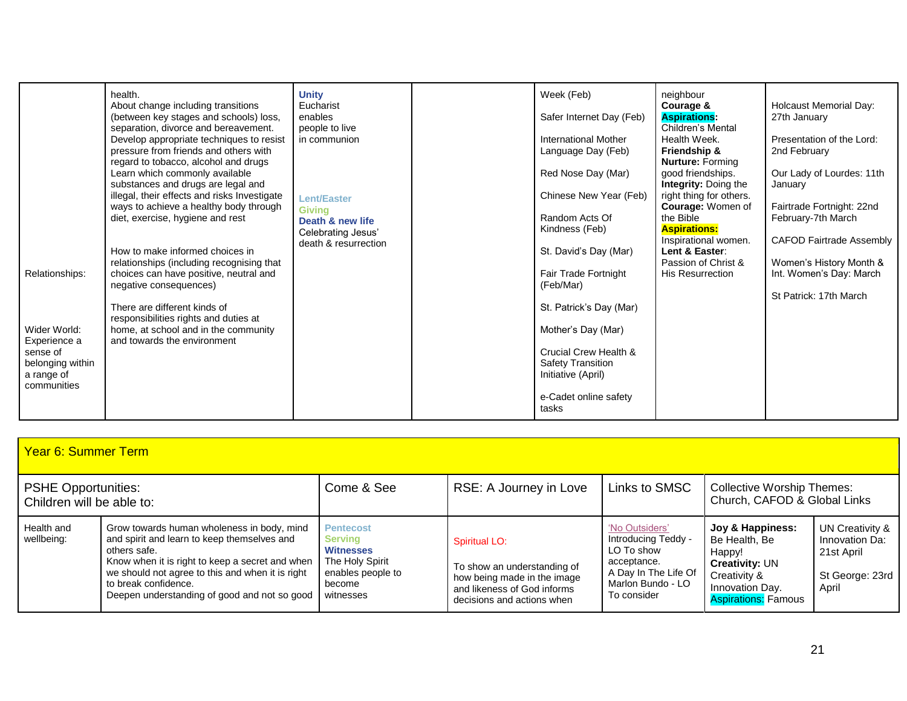| Relationships:<br>Wider World:<br>Experience a<br>sense of<br>belonging within<br>a range of<br>communities | health.<br>About change including transitions<br>(between key stages and schools) loss,<br>separation, divorce and bereavement.<br>Develop appropriate techniques to resist<br>pressure from friends and others with<br>regard to tobacco, alcohol and drugs<br>Learn which commonly available<br>substances and drugs are legal and<br>illegal, their effects and risks Investigate<br>ways to achieve a healthy body through<br>diet, exercise, hygiene and rest<br>How to make informed choices in<br>relationships (including recognising that<br>choices can have positive, neutral and<br>negative consequences)<br>There are different kinds of<br>responsibilities rights and duties at<br>home, at school and in the community<br>and towards the environment | <b>Unity</b><br>Eucharist<br>enables<br>people to live<br>in communion<br><b>Lent/Easter</b><br><b>Giving</b><br>Death & new life<br>Celebrating Jesus'<br>death & resurrection |  | Week (Feb)<br>Safer Internet Day (Feb)<br>International Mother<br>Language Day (Feb)<br>Red Nose Day (Mar)<br>Chinese New Year (Feb)<br>Random Acts Of<br>Kindness (Feb)<br>St. David's Day (Mar)<br>Fair Trade Fortnight<br>(Feb/Mar)<br>St. Patrick's Day (Mar)<br>Mother's Day (Mar)<br>Crucial Crew Health &<br><b>Safety Transition</b><br>Initiative (April)<br>e-Cadet online safety<br>tasks | neighbour<br>Courage &<br><b>Aspirations:</b><br>Children's Mental<br>Health Week.<br>Friendship &<br><b>Nurture: Forming</b><br>good friendships.<br>Integrity: Doing the<br>right thing for others.<br>Courage: Women of<br>the Bible<br><b>Aspirations:</b><br>Inspirational women.<br>Lent & Easter:<br>Passion of Christ &<br><b>His Resurrection</b> | <b>Holcaust Memorial Day:</b><br>27th January<br>Presentation of the Lord:<br>2nd February<br>Our Lady of Lourdes: 11th<br>January<br>Fairtrade Fortnight: 22nd<br>February-7th March<br><b>CAFOD Fairtrade Assembly</b><br>Women's History Month &<br>Int. Women's Day: March<br>St Patrick: 17th March |
|-------------------------------------------------------------------------------------------------------------|------------------------------------------------------------------------------------------------------------------------------------------------------------------------------------------------------------------------------------------------------------------------------------------------------------------------------------------------------------------------------------------------------------------------------------------------------------------------------------------------------------------------------------------------------------------------------------------------------------------------------------------------------------------------------------------------------------------------------------------------------------------------|---------------------------------------------------------------------------------------------------------------------------------------------------------------------------------|--|------------------------------------------------------------------------------------------------------------------------------------------------------------------------------------------------------------------------------------------------------------------------------------------------------------------------------------------------------------------------------------------------------|------------------------------------------------------------------------------------------------------------------------------------------------------------------------------------------------------------------------------------------------------------------------------------------------------------------------------------------------------------|----------------------------------------------------------------------------------------------------------------------------------------------------------------------------------------------------------------------------------------------------------------------------------------------------------|
|-------------------------------------------------------------------------------------------------------------|------------------------------------------------------------------------------------------------------------------------------------------------------------------------------------------------------------------------------------------------------------------------------------------------------------------------------------------------------------------------------------------------------------------------------------------------------------------------------------------------------------------------------------------------------------------------------------------------------------------------------------------------------------------------------------------------------------------------------------------------------------------------|---------------------------------------------------------------------------------------------------------------------------------------------------------------------------------|--|------------------------------------------------------------------------------------------------------------------------------------------------------------------------------------------------------------------------------------------------------------------------------------------------------------------------------------------------------------------------------------------------------|------------------------------------------------------------------------------------------------------------------------------------------------------------------------------------------------------------------------------------------------------------------------------------------------------------------------------------------------------------|----------------------------------------------------------------------------------------------------------------------------------------------------------------------------------------------------------------------------------------------------------------------------------------------------------|

| <b>Year 6: Summer Term</b>                              |                                                                                                                                                                                                                                                                                          |                                                                                                                            |                                                                                                                                                 |                                                                                                                                |                                                                                                                                       |                                                                             |  |
|---------------------------------------------------------|------------------------------------------------------------------------------------------------------------------------------------------------------------------------------------------------------------------------------------------------------------------------------------------|----------------------------------------------------------------------------------------------------------------------------|-------------------------------------------------------------------------------------------------------------------------------------------------|--------------------------------------------------------------------------------------------------------------------------------|---------------------------------------------------------------------------------------------------------------------------------------|-----------------------------------------------------------------------------|--|
| <b>PSHE Opportunities:</b><br>Children will be able to: |                                                                                                                                                                                                                                                                                          | Come & See<br>Links to SMSC<br>RSE: A Journey in Love<br><b>Collective Worship Themes:</b><br>Church, CAFOD & Global Links |                                                                                                                                                 |                                                                                                                                |                                                                                                                                       |                                                                             |  |
| Health and<br>wellbeing:                                | Grow towards human wholeness in body, mind<br>and spirit and learn to keep themselves and<br>others safe.<br>Know when it is right to keep a secret and when<br>we should not agree to this and when it is right<br>to break confidence.<br>Deepen understanding of good and not so good | <b>Pentecost</b><br><b>Serving</b><br><b>Witnesses</b><br>The Holy Spirit<br>enables people to<br>become<br>witnesses      | <b>Spiritual LO:</b><br>To show an understanding of<br>how being made in the image<br>and likeness of God informs<br>decisions and actions when | 'No Outsiders'<br>Introducing Teddy -<br>LO To show<br>acceptance.<br>A Day In The Life Of<br>Marlon Bundo - LO<br>To consider | Joy & Happiness:<br>Be Health, Be<br>Happy!<br><b>Creativity: UN</b><br>Creativity &<br>Innovation Day.<br><b>Aspirations: Famous</b> | UN Creativity &<br>Innovation Da:<br>21st April<br>St George: 23rd<br>April |  |